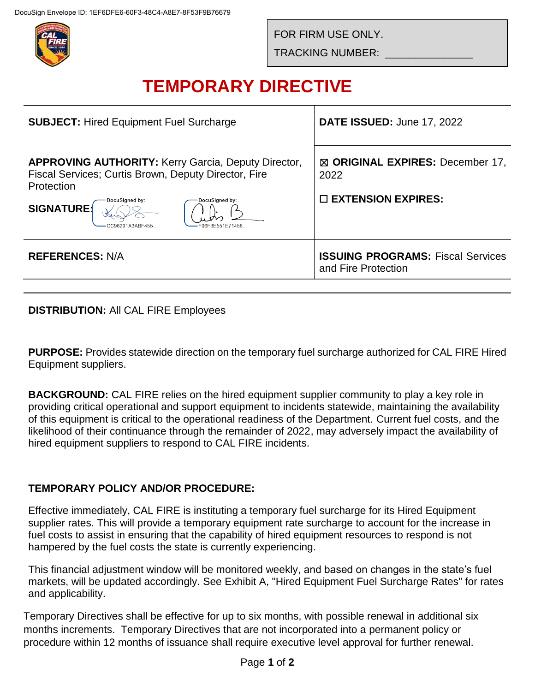

FOR FIRM USE ONLY.

TRACKING NUMBER: \_\_\_\_\_\_\_\_\_\_\_\_\_\_\_

# **TEMPORARY DIRECTIVE**

| <b>SUBJECT: Hired Equipment Fuel Surcharge</b>                                                                                                                                                                                  | <b>DATE ISSUED: June 17, 2022</b>                                        |
|---------------------------------------------------------------------------------------------------------------------------------------------------------------------------------------------------------------------------------|--------------------------------------------------------------------------|
| <b>APPROVING AUTHORITY:</b> Kerry Garcia, Deputy Director,<br>Fiscal Services; Curtis Brown, Deputy Director, Fire<br>Protection<br>DocuSigned by:<br>DocuSianed by:<br><b>SIGNATURE:</b><br>CC96291A3ABF455<br>F06F3F551F71456 | ⊠ ORIGINAL EXPIRES: December 17,<br>2022<br>$\square$ EXTENSION EXPIRES: |
| <b>REFERENCES: N/A</b>                                                                                                                                                                                                          | <b>ISSUING PROGRAMS: Fiscal Services</b><br>and Fire Protection          |

**DISTRIBUTION:** All CAL FIRE Employees

**PURPOSE:** Provides statewide direction on the temporary fuel surcharge authorized for CAL FIRE Hired Equipment suppliers.

**BACKGROUND:** CAL FIRE relies on the hired equipment supplier community to play a key role in providing critical operational and support equipment to incidents statewide, maintaining the availability of this equipment is critical to the operational readiness of the Department. Current fuel costs, and the likelihood of their continuance through the remainder of 2022, may adversely impact the availability of hired equipment suppliers to respond to CAL FIRE incidents.

## **TEMPORARY POLICY AND/OR PROCEDURE:**

Effective immediately, CAL FIRE is instituting a temporary fuel surcharge for its Hired Equipment supplier rates. This will provide a temporary equipment rate surcharge to account for the increase in fuel costs to assist in ensuring that the capability of hired equipment resources to respond is not hampered by the fuel costs the state is currently experiencing.

This financial adjustment window will be monitored weekly, and based on changes in the state's fuel markets, will be updated accordingly. See Exhibit A, "Hired Equipment Fuel Surcharge Rates" for rates and applicability.

Temporary Directives shall be effective for up to six months, with possible renewal in additional six months increments. Temporary Directives that are not incorporated into a permanent policy or procedure within 12 months of issuance shall require executive level approval for further renewal.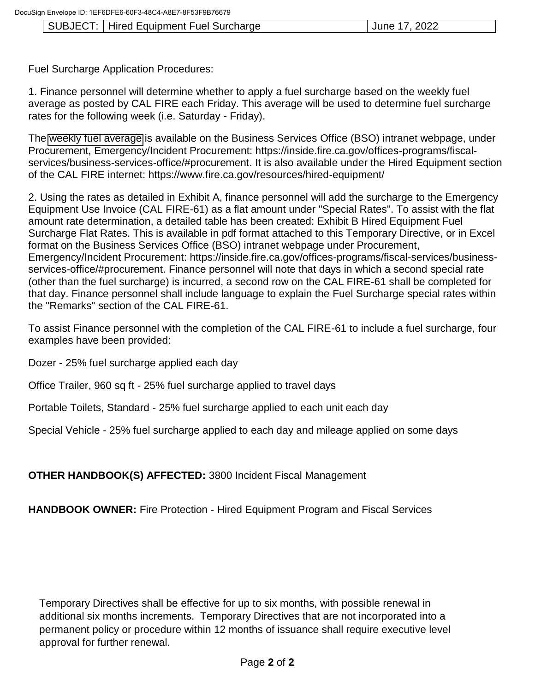### SUBJECT: | Hired Equipment Fuel Surcharge | June 17, 2022

Fuel Surcharge Application Procedures:

1. Finance personnel will determine whether to apply a fuel surcharge based on the weekly fuel average as posted by CAL FIRE each Friday. This average will be used to determine fuel surcharge rates for the following week (i.e. Saturday - Friday).

The [weekly fuel average](https://inside.fire.ca.gov/media/ewjhuxxp/weekly-fuel-averages.xlsx) is available on the Business Services Office (BSO) intranet webpage, under Procurement, Emergency/Incident Procurement: https://inside.fire.ca.gov/offices-programs/fiscalservices/business-services-office/#procurement. It is also available under the Hired Equipment section of the CAL FIRE internet: https://www.fire.ca.gov/resources/hired-equipment/

2. Using the rates as detailed in Exhibit A, finance personnel will add the surcharge to the Emergency Equipment Use Invoice (CAL FIRE-61) as a flat amount under "Special Rates". To assist with the flat amount rate determination, a detailed table has been created: Exhibit B Hired Equipment Fuel Surcharge Flat Rates. This is available in pdf format attached to this Temporary Directive, or in Excel format on the Business Services Office (BSO) intranet webpage under Procurement, Emergency/Incident Procurement: https://inside.fire.ca.gov/offices-programs/fiscal-services/businessservices-office/#procurement. Finance personnel will note that days in which a second special rate (other than the fuel surcharge) is incurred, a second row on the CAL FIRE-61 shall be completed for that day. Finance personnel shall include language to explain the Fuel Surcharge special rates within the "Remarks" section of the CAL FIRE-61.

To assist Finance personnel with the completion of the CAL FIRE-61 to include a fuel surcharge, four examples have been provided:

Dozer - 25% fuel surcharge applied each day

Office Trailer, 960 sq ft - 25% fuel surcharge applied to travel days

Portable Toilets, Standard - 25% fuel surcharge applied to each unit each day

Special Vehicle - 25% fuel surcharge applied to each day and mileage applied on some days

## **OTHER HANDBOOK(S) AFFECTED:** 3800 Incident Fiscal Management

**HANDBOOK OWNER:** Fire Protection - Hired Equipment Program and Fiscal Services

Temporary Directives shall be effective for up to six months, with possible renewal in additional six months increments. Temporary Directives that are not incorporated into a permanent policy or procedure within 12 months of issuance shall require executive level approval for further renewal.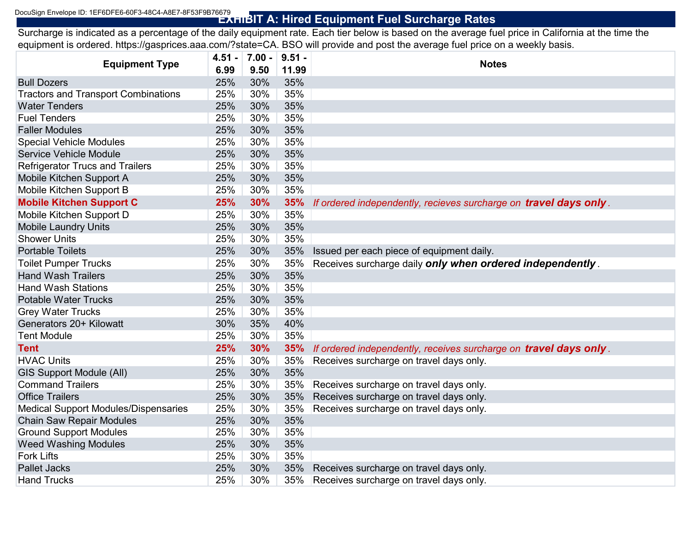# **EXHIBIT A: Hired Equipment Fuel Surcharge Rates** DocuSign Envelope ID: 1EF6DFE6-60F3-48C4-A8E7-8F53F9B76679

Surcharge is indicated as a percentage of the daily equipment rate. Each tier below is based on the average fuel price in California at the time the equipment is ordered. https://gasprices.aaa.com/?state=CA. BSO will provide and post the average fuel price on a weekly basis.

| <b>Equipment Type</b>                      | 4.51 - | $7.00 -$ | $9.51 -$ | <b>Notes</b>                                                      |
|--------------------------------------------|--------|----------|----------|-------------------------------------------------------------------|
|                                            | 6.99   | 9.50     | 11.99    |                                                                   |
| <b>Bull Dozers</b>                         | 25%    | 30%      | 35%      |                                                                   |
| <b>Tractors and Transport Combinations</b> | 25%    | 30%      | 35%      |                                                                   |
| <b>Water Tenders</b>                       | 25%    | 30%      | 35%      |                                                                   |
| <b>Fuel Tenders</b>                        | 25%    | 30%      | 35%      |                                                                   |
| <b>Faller Modules</b>                      | 25%    | 30%      | 35%      |                                                                   |
| <b>Special Vehicle Modules</b>             | 25%    | 30%      | 35%      |                                                                   |
| <b>Service Vehicle Module</b>              | 25%    | 30%      | 35%      |                                                                   |
| <b>Refrigerator Trucs and Trailers</b>     | 25%    | 30%      | 35%      |                                                                   |
| Mobile Kitchen Support A                   | 25%    | 30%      | 35%      |                                                                   |
| Mobile Kitchen Support B                   | 25%    | 30%      | 35%      |                                                                   |
| <b>Mobile Kitchen Support C</b>            | 25%    | 30%      | 35%      | If ordered independently, recieves surcharge on travel days only. |
| Mobile Kitchen Support D                   | 25%    | 30%      | 35%      |                                                                   |
| <b>Mobile Laundry Units</b>                | 25%    | 30%      | 35%      |                                                                   |
| <b>Shower Units</b>                        | 25%    | 30%      | 35%      |                                                                   |
| <b>Portable Toilets</b>                    | 25%    | 30%      | 35%      | Issued per each piece of equipment daily.                         |
| <b>Toilet Pumper Trucks</b>                | 25%    | 30%      | 35%      | Receives surcharge daily only when ordered independently.         |
| <b>Hand Wash Trailers</b>                  | 25%    | 30%      | 35%      |                                                                   |
| <b>Hand Wash Stations</b>                  | 25%    | 30%      | 35%      |                                                                   |
| <b>Potable Water Trucks</b>                | 25%    | 30%      | 35%      |                                                                   |
| <b>Grey Water Trucks</b>                   | 25%    | 30%      | 35%      |                                                                   |
| Generators 20+ Kilowatt                    | 30%    | 35%      | 40%      |                                                                   |
| <b>Tent Module</b>                         | 25%    | 30%      | 35%      |                                                                   |
| <b>Tent</b>                                | 25%    | 30%      | 35%      | If ordered independently, receives surcharge on travel days only. |
| <b>HVAC Units</b>                          | 25%    | 30%      | 35%      | Receives surcharge on travel days only.                           |
| <b>GIS Support Module (All)</b>            | 25%    | 30%      | 35%      |                                                                   |
| <b>Command Trailers</b>                    | 25%    | 30%      | 35%      | Receives surcharge on travel days only.                           |
| <b>Office Trailers</b>                     | 25%    | 30%      | 35%      | Receives surcharge on travel days only.                           |
| Medical Support Modules/Dispensaries       | 25%    | 30%      | 35%      | Receives surcharge on travel days only.                           |
| <b>Chain Saw Repair Modules</b>            | 25%    | 30%      | 35%      |                                                                   |
| <b>Ground Support Modules</b>              | 25%    | 30%      | 35%      |                                                                   |
| <b>Weed Washing Modules</b>                | 25%    | 30%      | 35%      |                                                                   |
| <b>Fork Lifts</b>                          | 25%    | 30%      | 35%      |                                                                   |
| <b>Pallet Jacks</b>                        | 25%    | 30%      | 35%      | Receives surcharge on travel days only.                           |
| <b>Hand Trucks</b>                         | 25%    | 30%      | 35%      | Receives surcharge on travel days only.                           |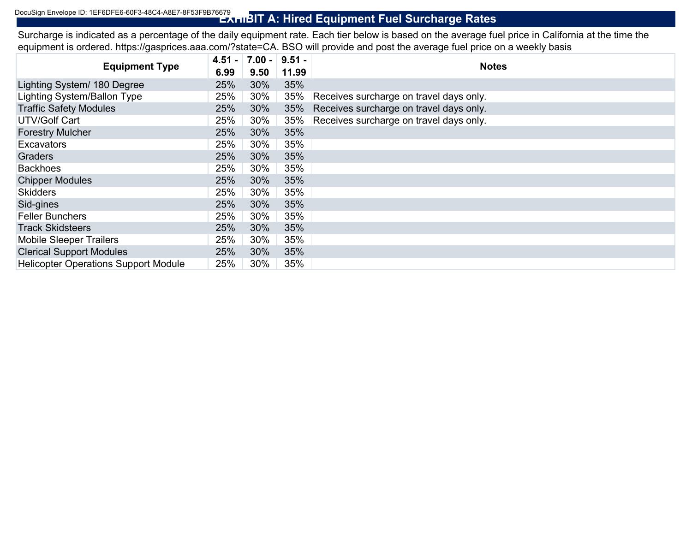# **Exhibit A: Hired Equipment Fuel Surcharge Rates**

Surcharge is indicated as a percentage of the daily equipment rate. Each tier below is based on the average fuel price in California at the time the equipment is ordered. https://gasprices.aaa.com/?state=CA. BSO will provide and post the average fuel price on a weekly basis

| <b>Equipment Type</b>                       | $4.51 -$ | $7.00 - 9.51 -$ |       | <b>Notes</b>                            |
|---------------------------------------------|----------|-----------------|-------|-----------------------------------------|
|                                             | 6.99     | 9.50            | 11.99 |                                         |
| Lighting System/ 180 Degree                 | 25%      | 30%             | 35%   |                                         |
| <b>Lighting System/Ballon Type</b>          | 25%      | 30%             | 35%   | Receives surcharge on travel days only. |
| <b>Traffic Safety Modules</b>               | 25%      | 30%             | 35%   | Receives surcharge on travel days only. |
| <b>UTV/Golf Cart</b>                        | 25%      | 30%             | 35%   | Receives surcharge on travel days only. |
| <b>Forestry Mulcher</b>                     | 25%      | 30%             | 35%   |                                         |
| <b>Excavators</b>                           | 25%      | 30%             | 35%   |                                         |
| Graders                                     | 25%      | 30%             | 35%   |                                         |
| <b>Backhoes</b>                             | 25%      | 30%             | 35%   |                                         |
| <b>Chipper Modules</b>                      | 25%      | 30%             | 35%   |                                         |
| <b>Skidders</b>                             | 25%      | 30%             | 35%   |                                         |
| Sid-gines                                   | 25%      | 30%             | 35%   |                                         |
| <b>Feller Bunchers</b>                      | 25%      | 30%             | 35%   |                                         |
| <b>Track Skidsteers</b>                     | 25%      | 30%             | 35%   |                                         |
| <b>Mobile Sleeper Trailers</b>              | 25%      | 30%             | 35%   |                                         |
| <b>Clerical Support Modules</b>             | 25%      | 30%             | 35%   |                                         |
| <b>Helicopter Operations Support Module</b> | 25%      | 30%             | 35%   |                                         |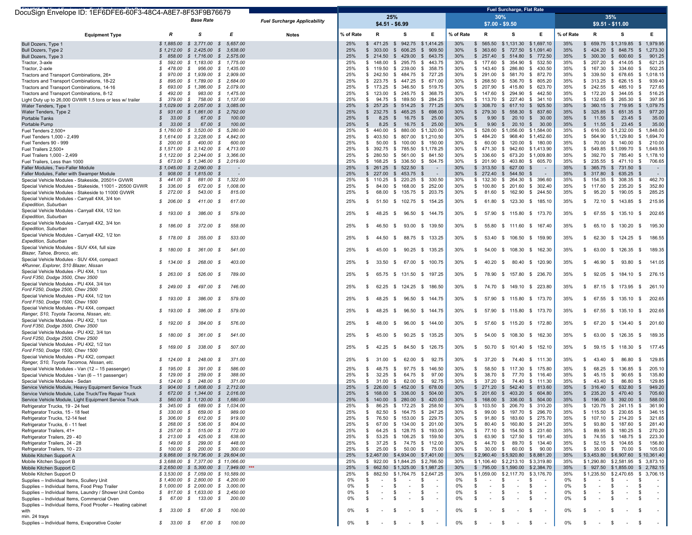| DocuSign Envelope ID: 1EF6DFE6-60F3-48C4-A8E7-8F53F9B76679                                                                       |                              |                                                                          |                         |                                     |            |                                  |                                        |                          |            |                                                         | <b>Fuel Surcharge, Flat Rate</b>   |                                |            |                                            |                                                             |                                    |
|----------------------------------------------------------------------------------------------------------------------------------|------------------------------|--------------------------------------------------------------------------|-------------------------|-------------------------------------|------------|----------------------------------|----------------------------------------|--------------------------|------------|---------------------------------------------------------|------------------------------------|--------------------------------|------------|--------------------------------------------|-------------------------------------------------------------|------------------------------------|
|                                                                                                                                  |                              | <b>Base Rate</b>                                                         |                         | <b>Fuel Surcharge Applicability</b> |            |                                  | 25%<br>$$4.51 - $6.99$                 |                          |            | 30%<br>$$7.00 - $9.50$                                  |                                    |                                |            |                                            | 35%<br>$$9.51 - $11.00$                                     |                                    |
| <b>Equipment Type</b>                                                                                                            | R                            | <b>s</b>                                                                 | Е                       | <b>Notes</b>                        | % of Rate  | R                                | s                                      | Е                        | % of Rate  | R                                                       | s                                  | Е                              | % of Rate  | R                                          | s                                                           | Е.                                 |
| Bull Dozers, Type 1                                                                                                              |                              | $$1,885.00$ \$ 3,771.00 \$                                               | 5.657.00                |                                     | 25%        | $$471.25$ \$                     |                                        | 942.75 \$1,414.25        | 30%        | 565.50<br>$\mathbb{S}$                                  | \$1,131.30 \$1,697.10              |                                | 35%        | -S                                         | 659.75 \$1,319.85                                           | 1,979.95<br>\$                     |
| Bull Dozers, Type 2<br>Bull Dozers, Type 3                                                                                       | 858.00<br>s.                 | $$1,212.00$ $$2,425.00$ $$$<br>$$1,716.00$ \$                            | 3,638.00<br>2,575.00    |                                     | 25%<br>25% | \$303.00<br>\$214.50             | $\mathbb{S}$<br>606.25<br>\$429.00     | \$909.50<br>643.75<br>\$ | 30%<br>30% | $\mathfrak s$<br>363.60<br>$$257.40$ \$ 514.80          | \$727.50                           | \$1,091.40<br>\$ 772.50        | 35%<br>35% | \$ 424.20 \$ 848.75<br>$$300.30$ \$        | 600.60                                                      | 1,273.30<br>\$<br>901.25<br>- \$   |
| Tractor, 3-axle                                                                                                                  | S<br>592.00                  | $$1,183.00$ $$1,775.00$                                                  |                         |                                     | 25%        | \$148.00                         | \$ 295.75                              | \$443.75                 | 30%        | \$177.60                                                | \$ 354.90                          | \$532.50                       | 35%        | \$207.20\$3414.05                          |                                                             | 621.25<br>\$                       |
| Tractor, 2-axle                                                                                                                  | s<br>478.00                  | S                                                                        | 956.00 \$ 1,435.00      |                                     | 25%        | \$119.50                         | \$ 239.00                              | \$<br>358.75             | 30%        | \$143.40                                                | \$ 286.80                          | \$430.50                       | 35%        | \$ 167.30 \$ 334.60                        |                                                             | 502.25<br>- \$                     |
| Tractors and Transport Combinations, 26+                                                                                         | 970.00<br>-S                 | $$1,939.00$ \$                                                           | 2,909.00                |                                     | 25%        | \$242.50                         | \$<br>484.75                           | \$<br>727.25             | 30%        | \$<br>291.00                                            | $\mathbb{S}$<br>581.70             | \$<br>872.70                   | 35%        | S.<br>339.50                               | \$ 678.65                                                   | \$<br>1,018.15                     |
| Tractors and Transport Combinations, 18-22                                                                                       | 895.00<br>S.                 | \$ 1,789.00 \$ 2,684.00                                                  |                         |                                     | 25%        |                                  | $$223.75$ $$447.25$                    | \$<br>671.00             | 30%        | \$ 268.50                                               | \$536.70                           | \$ 805.20                      | 35%        | $$313.25$ $$626.15$                        |                                                             | 939.40<br>-\$                      |
| Tractors and Transport Combinations, 14-16                                                                                       | s<br>693.00                  | \$1,386.00 \$2,079.00                                                    |                         |                                     | 25%        |                                  | \$ 173.25 \$ 346.50                    | \$ 519.75                | 30%        | \$ 207.90 \$ 415.80                                     |                                    | \$ 623.70                      | 35%        | $$242.55$ $$485.10$                        |                                                             | 727.65<br>- \$                     |
| Tractors and Transport Combinations, 8-12                                                                                        | S<br>492.00                  | S                                                                        | 983.00 \$ 1,475.00      |                                     | 25%<br>25% | \$123.00                         | \$245.75                               | \$<br>368.75             | 30%<br>30% | \$ 147.60 \$ 294.90                                     |                                    | \$442.50                       | 35%<br>35% | \$ 172.20 \$ 344.05                        |                                                             | \$<br>516.25                       |
| Light Duty up to 26,000 GVWR 1.5 tons or less w/ trailer<br>Water Tenders, Type 1                                                | \$379.00<br>\$1,029.00       | S.<br>$$2,057.00$ $$3,085.00$                                            | 758.00 \$ 1,137.00      |                                     | 25%        | -S                               | 94.75 \$ 189.50<br>$$257.25$ $$514.25$ | \$284.25<br>\$771.25     | 30%        | \$ 113.70 \$ 227.40<br>\$ 308.70 \$ 617.10              |                                    | \$341.10<br>\$925.50           | 35%        | \$ 132.65 \$ 265.30<br>\$ 360.15 \$ 719.95 |                                                             | 397.95<br>- \$<br>1,079.75<br>- \$ |
| Water Tenders, Type 2                                                                                                            | $\mathcal{S}$<br>931.00      | $$1,861.00$ \$                                                           | 2,792.00                |                                     | 25%        |                                  | $$232.75$ $$465.25$                    | \$<br>698.00             | 30%        | $\mathfrak s$<br>279.30                                 | \$ 558.30                          | \$ 837.60                      | 35%        | S.                                         | 325.85 \$ 651.35                                            | -\$<br>977.20                      |
| Portable Tanks                                                                                                                   | $\mathcal{S}$<br>33.00       | $\mathcal{S}$<br>67.00 \$                                                | 100.00                  |                                     | 25%        | S.<br>8.25                       | $\mathbb{S}$<br>16.75                  | $\mathfrak s$<br>25.00   | 30%        | $\mathbb{S}$<br>9.90                                    | $\mathbb{S}$<br>20.10              | \$30.00                        | 35%        | $\mathbb{S}$                               | 11.55 \$ 23.45                                              | 35.00<br>-\$                       |
| Portable Pump                                                                                                                    | 33.00<br>s.                  | 67.00<br>s                                                               | 100.00<br>$\mathcal{S}$ |                                     | 25%        | 8.25<br>\$                       | $\mathbb{S}$<br>16.75                  | \$<br>25.00              | 30%        | $\mathbb{S}$<br>9.90                                    | $\mathbb{S}$<br>20.10              | \$30.00                        | 35%        | S.                                         | 11.55 \$ 23.45                                              | 35.00<br>- \$                      |
| Fuel Tenders 2,500+                                                                                                              | \$1,760.00                   | $$3,520.00$ \$                                                           | 5,280.00                |                                     | 25%        | \$440.00                         | \$ 880.00                              | \$1,320.00               | 30%        | \$ 528.00                                               | \$1,056.00 \$1,584.00              |                                | 35%        | \$ 616.00 \$1,232.00                       |                                                             | 1,848.00<br>\$                     |
| Fuel Tenders 1,000 - 2,499                                                                                                       |                              | $$1,614.00$ $$3,228.00$ $$$                                              | 4,842.00                |                                     | 25%        | \$403.50                         | \$ 807.00                              | \$1,210.50               | 30%        | \$484.20                                                | \$ 968.40 \$1,452.60               |                                | 35%        | \$ 564.90 \$1,129.80                       |                                                             | 1,694.70<br>- \$                   |
| Fuel Tenders 90 - 999                                                                                                            | S.<br>200.00                 | \$400.00\$                                                               | 600.00                  |                                     | 25%        | 50.00<br>-S                      | \$100.00                               | \$ 150.00                | 30%        | \$<br>60.00                                             | \$120.00                           | \$180.00                       | 35%        | 70.00<br>S.                                | \$140.00                                                    | 210.00<br>\$                       |
| Fuel Trailers 2,500+<br>Fuel Trailers 1,000 - 2,499                                                                              |                              | $$1,571.00 \$3,142.00 \$$<br>$$1,122.00$ $$2,244.00$ $$$                 | 4,713.00<br>3,366.00    |                                     | 25%<br>25% | \$280.50                         | \$ 392.75 \$ 785.50<br>\$ 561.00       | \$1,178.25<br>\$ 841.50  | 30%<br>30% | \$471.30<br>\$ 336.60 \$ 673.20                         | \$ 942.60 \$1,413.90               | \$1,009.80                     | 35%<br>35% | \$549.85 \$1,099.70<br>\$ 392.70 \$ 785.40 |                                                             | 1,649.55<br>-\$<br>\$1,178.10      |
| Fuel Trailers. Less than 1000                                                                                                    |                              | \$ 673.00 \$ 1,346.00 \$ 2,019.00                                        |                         |                                     | 25%        |                                  | \$ 168.25 \$ 336.50                    | \$504.75                 | 30%        | \$ 201.90 \$ 403.80                                     |                                    | \$ 605.70                      | 35%        | \$ 235.55 \$ 471.10                        |                                                             | - \$<br>706.65                     |
| Faller Modules, Two-Faller Module                                                                                                |                              | $$1,045.00$ \$ 2,090.00 \$                                               |                         |                                     | 25%        |                                  | $$261.25$ $$522.50$                    | \$<br>$\sim$             | 30%        | \$ 313.50 \$ 627.00                                     |                                    | - \$<br>$\sim$                 | 35%        | $$365.75$ $$731.50$                        |                                                             | - \$                               |
| Faller Modules, Faller with Swamper Module                                                                                       | \$908.00                     | $$1,815.00$ \$                                                           |                         |                                     | 25%        |                                  | $$227.00$ $$453.75$                    | - \$<br>$\sim$           | 30%        | \$272.40                                                | 544.50<br>-S                       | -S<br>$\sim$                   | 35%        | $$317.80$ $$635.25$                        |                                                             | - \$<br>$\sim$                     |
| Special Vehicle Modules - Stakeside, 20501+ GVWR                                                                                 | 441.00<br>-S                 | s<br>881.00 \$                                                           | 1,322.00                |                                     | 25%        | \$110.25                         | 220.25<br><b>S</b>                     | \$ 330.50                | 30%        | \$132.30                                                | \$ 264.30                          | \$ 396.60                      | 35%        | S.                                         | 154.35 \$ 308.35                                            | - \$<br>462.70                     |
| Special Vehicle Modules - Stakeside, 11001 - 20500 GVWR                                                                          | \$336.00                     | S<br>672.00 \$                                                           | 1,008.00                |                                     | 25%        | 84.00<br>\$                      | \$168.00                               | \$252.00                 | 30%        | \$ 100.80 \$ 201.60                                     |                                    | \$302.40                       | 35%        | \$ 117.60 \$ 235.20                        |                                                             | 352.80<br>- \$                     |
| Special Vehicle Modules - Stakeside to 11000 GVWR                                                                                | \$272.00                     | 543.00 \$<br>S.                                                          | 815.00                  |                                     | 25%        | \$                               | 68.00 \$ 135.75 \$ 203.75              |                          | 30%        | \$                                                      | 81.60 \$ 162.90                    | \$244.50                       | 35%        | S.                                         | 95.20 \$ 190.05                                             | 285.25<br>- \$                     |
| Special Vehicle Modules - Carryall 4X4, 3/4 ton<br>Expedition, Suburban                                                          | \$206.00                     | 411.00 \$<br>S                                                           | 617.00                  |                                     | 25%        | -S                               | 51.50 \$ 102.75 \$ 154.25              |                          | 30%        | s.                                                      | 61.80 \$ 123.30 \$ 185.10          |                                | 35%        | S.                                         | 72.10 \$ 143.85 \$                                          | 215.95                             |
| Special Vehicle Modules - Carryall 4X4, 1/2 ton<br>Expedition, Suburban                                                          | 193.00                       | 386.00 \$<br>S                                                           | 579.00                  |                                     | 25%        | 48.25 \$<br>- \$                 |                                        | 96.50 \$ 144.75          | 30%        | \$                                                      | 57.90 \$ 115.80 \$ 173.70          |                                | 35%        | -S                                         | 67.55 \$ 135.10 \$                                          | 202.65                             |
| Special Vehicle Modules - Carryall 4X2, 3/4 ton<br>Expedition, Suburban                                                          | -S<br>186.00                 | 372.00 \$<br>S                                                           | 558.00                  |                                     | 25%        | 46.50<br>-\$                     | - \$<br>93.00                          | \$ 139.50                | 30%        | \$                                                      | 55.80 \$ 111.60 \$ 167.40          |                                | 35%        | -S                                         | 65.10 \$ 130.20                                             | 195.30<br>- \$                     |
| Special Vehicle Modules - Carryall 4X2, 1/2 ton<br>Expedition, Suburban                                                          | 178.00<br>s                  | 355.00<br>S                                                              | 533.00<br>S             |                                     | 25%        | 44.50<br>- \$                    | 88.75<br>- \$                          | \$133.25                 | 30%        | \$<br>53.40                                             | -S<br>106.50                       | \$159.90                       | 35%        | 62.30<br>-S                                | \$124.25                                                    | 186.55<br>- \$                     |
| Special Vehicle Modules - SUV 4X4, full size<br>Blazer, Tahoe, Bronco, etc.                                                      | 180.00<br>S.                 | 361.00 \$<br>S                                                           | 541.00                  |                                     | 25%        | 45.00<br>- \$                    | 90.25<br>\$                            | \$ 135.25                | 30%        | \$                                                      | 54.00 \$ 108.30 \$ 162.30          |                                | 35%        | -S                                         | 63.00 \$ 126.35                                             | 189.35<br>- \$                     |
| Special Vehicle Modules - SUV 4X4, compact<br>4Runner, Explorer, S10 Blazer, Nissan                                              | 134.00<br>S.                 | 268.00 \$<br>S                                                           | 403.00                  |                                     | 25%        | 33.50<br>- \$                    | \$<br>67.00                            | \$100.75                 | 30%        | \$<br>40.20                                             | S.                                 | 80.40 \$ 120.90                | 35%        | 46.90<br>S.                                | - \$<br>93.80                                               | - \$<br>141.05                     |
| Special Vehicle Modules - PU 4X4, 1 ton<br>Ford F350, Dodge 3500, Chev 3500                                                      | 263.00<br>-S                 | 526.00 \$<br>- \$                                                        | 789.00                  |                                     | 25%        | - \$                             | 65.75 \$ 131.50                        | \$ 197.25                | 30%        | \$                                                      | 78.90 \$ 157.80 \$ 236.70          |                                | 35%        | 92.05<br>-S                                | - \$<br>184.10                                              | 276.15<br>\$                       |
| Special Vehicle Modules - PU 4X4, 3/4 ton<br>Ford F250, Dodge 2500, Chev 2500                                                    | \$249.00                     | 497.00 \$<br>- \$                                                        | 746.00                  |                                     | 25%        | - \$                             | 62.25 \$ 124.25 \$ 186.50              |                          | 30%        | s.                                                      | 74.70 \$ 149.10 \$ 223.80          |                                | 35%        | -S                                         | 87.15 \$ 173.95                                             | 261.10<br>- \$                     |
| Special Vehicle Modules - PU 4X4, 1/2 ton<br>Ford F150, Dodge 1500, Chev 1500                                                    | 193.00<br>s.                 | 386.00 \$<br>- \$                                                        | 579.00                  |                                     | 25%        | 48.25                            | \$                                     | 96.50 \$ 144.75          | 30%        | \$                                                      | 57.90 \$ 115.80 \$ 173.70          |                                | 35%        | \$                                         | 67.55 \$ 135.10                                             | 202.65<br>- \$                     |
| Special Vehicle Modules - PU 4X4, compact<br>Ranger, S10, Toyota Tacoma, Nissan, etc.<br>Special Vehicle Modules - PU 4X2, 1 ton | 193.00                       | 386.00<br>- \$                                                           | 579.00<br>- \$          |                                     | 25%        | 48.25<br>- \$                    | \$<br>96.50                            | \$144.75                 | 30%        | \$<br>57.90                                             | \$115.80                           | \$ 173.70                      | 35%        | 67.55 \$<br>-S                             | 135.10                                                      | 202.65<br>- \$                     |
| Ford F350, Dodge 3500, Chev 3500<br>Special Vehicle Modules - PU 4X2, 3/4 ton                                                    | 192.00<br>S.                 | 384.00 \$<br>S                                                           | 576.00                  |                                     | 25%        | 48.00<br>- \$                    | \$<br>96.00                            | \$144.00                 | 30%        | \$                                                      | 57.60 \$ 115.20 \$ 172.80          |                                | 35%        | -S                                         | 67.20 \$ 134.40                                             | 201.60<br>-\$                      |
| Ford F250, Dodge 2500, Chev 2500<br>Special Vehicle Modules - PU 4X2, 1/2 ton                                                    | \$180.00                     | 361.00 \$<br>s.                                                          | 541.00                  |                                     | 25%        | 45.00<br>- \$                    | \$                                     | 90.25 \$ 135.25          | 30%        | \$                                                      | 54.00 \$ 108.30 \$ 162.30          |                                | 35%        | -S                                         | 63.00 \$ 126.35                                             | \$<br>189.35                       |
| Ford F150, Dodge 1500, Chev 1500<br>Special Vehicle Modules - PU 4X2, compact                                                    | 169.00<br>-S                 | 338.00 \$<br>- \$                                                        | 507.00                  |                                     | 25%        | 42.25                            | \$<br>84.50                            | \$126.75                 | 30%        | \$                                                      | 50.70 \$ 101.40 \$ 152.10          |                                | 35%        | 59.15<br>\$.                               | - \$<br>118.30                                              | 177.45<br>- \$                     |
| Ranger, S10, Toyota Tacomoa, Nissan, etc.                                                                                        | \$124.00                     | 248.00 \$<br>- \$                                                        | 371.00                  |                                     | 25%        | 31.00<br>- \$                    | \$<br>62.00                            | \$<br>92.75              | 30%        | \$                                                      | 37.20 \$ 74.40 \$ 111.30           |                                | 35%        | \$.                                        | 43.40 \$ 86.80                                              | 129.85<br>- \$                     |
| Special Vehicle Modules - Van (12 - 15 passenger)                                                                                | 195.00<br>-S                 | 391.00 S<br>- \$                                                         | 586.00                  |                                     | 25%        | 48.75<br>- \$                    | \$<br>97.75                            | \$<br>146.50             | 30%        | \$<br>58.50                                             | \$117.30                           | \$ 175.80                      | 35%        | -S<br>68.25                                | - \$<br>136.85                                              | 205.10<br>- \$                     |
| Special Vehicle Modules - Van (6 - 11 passenger)                                                                                 | -S<br>129.00                 | 259.00 \$<br>s                                                           | 388.00                  |                                     | 25%        | 32.25<br>-S                      | \$<br>64.75                            | \$<br>97.00              | 30%        | \$<br>38.70                                             | - \$<br>77.70                      | \$ 116.40                      | 35%        | \$<br>45.15 \$                             | 90.65                                                       | 135.80<br>- \$                     |
| Special Vehicle Modules - Sedan<br>Service Vehicle Module, Heavy Equipment Service Truck                                         | 124.00<br>s.                 | 248.00 \$<br>S.<br>\$ 904.00 \$ 1,808.00 \$ 2,712.00                     | 371.00                  |                                     | 25%<br>25% | \$<br>31.00                      | 62.00<br>\$<br>\$ 226.00 \$ 452.00     | \$<br>92.75<br>\$ 678.00 | 30%<br>30% | \$<br>37.20 \$<br>\$ 271.20 \$ 542.40 \$ 813.60         | 74.40                              | \$111.30                       | 35%<br>35% | \$<br>43.40 \$<br>\$ 316.40 \$ 632.80      | 86.80                                                       | 129.85<br>- \$<br>949.20<br>-\$    |
| Service Vehicle Module, Lube Truck/Tire Repair Truck                                                                             |                              | $$672.00$$ \$ 1,344.00 \$ 2,016.00                                       |                         |                                     | 25%        |                                  | \$ 168.00 \$ 336.00 \$ 504.00          |                          | 30%        | \$ 201.60 \$ 403.20 \$ 604.80                           |                                    |                                | 35%        |                                            | \$ 235.20 \$ 470.40 \$                                      | 705.60                             |
| Service Vehicle Module, Light Equipment Service Truck                                                                            |                              | $$560.00$$ \$ 1,120.00 \$ 1,680.00                                       |                         |                                     | 25%        |                                  | \$140.00 \$280.00 \$420.00             |                          | 30%        | \$ 168.00 \$ 336.00 \$ 504.00                           |                                    |                                | 35%        |                                            | \$ 196.00 \$ 392.00 \$                                      | 588.00                             |
| Refrigerator Trucks, 19 - 24 feet                                                                                                | 345.00<br>s                  | 689.00 \$<br>S                                                           | 1,034.00                |                                     | 25%        | 86.25<br>S.                      | \$ 172.25 \$ 258.50                    |                          | 30%        | \$<br>103.50                                            | \$ 206.70 \$ 310.20                |                                | 35%        | -S                                         | 120.75 \$ 241.15                                            | 361.90<br>- \$                     |
| Refrigerator Trucks, 15 - 18 feet                                                                                                | 330.00<br>S.                 | 659.00 \$<br>S                                                           | 989.00                  |                                     | 25%        | 82.50<br>- \$                    | \$164.75                               | \$247.25                 | 30%        | \$<br>99.00                                             | \$197.70                           | \$ 296.70                      | 35%        | \$ 115.50 \$ 230.65                        |                                                             | -\$<br>346.15                      |
| Refrigerator Trucks, 12-14 feet                                                                                                  | 306.00<br>-S                 | 612.00<br>-S                                                             | 919.00<br>- \$          |                                     | 25%        | 76.50<br>- \$                    | \$153.00                               | \$229.75                 | 30%        | \$<br>91.80                                             | \$183.60                           | \$275.70                       | 35%        | S.                                         | 107.10 \$ 214.20                                            | 321.65<br>\$                       |
| Refrigerator Trucks, 6 - 11 feet<br>Refrigerator Trailers, 41+                                                                   | S.<br>268.00<br>257.00<br>S. | 536.00 \$<br>S<br>515.00 \$<br>S                                         | 804.00<br>772.00        |                                     | 25%<br>25% | \$<br>\$                         | 67.00 \$ 134.00<br>64.25 \$ 128.75     | \$201.00<br>\$193.00     | 30%<br>30% | \$<br>\$                                                | 80.40 \$ 160.80<br>77.10 \$ 154.50 | \$241.20<br>\$231.60           | 35%<br>35% | S.<br>S.                                   | 93.80 \$ 187.60<br>89.95 \$ 180.25                          | 281.40<br>- \$<br>270.20           |
| Refrigerator Trailers, 29 - 40                                                                                                   | 213.00<br>S.                 | s<br>425.00                                                              | - \$<br>638.00          |                                     | 25%        | S.<br>53.25                      | \$106.25                               | \$<br>159.50             | 30%        | \$                                                      | 63.90 \$ 127.50                    | \$191.40                       | 35%        | S.                                         | 74.55 \$ 148.75                                             | - \$<br>223.30<br>- \$             |
| Refrigerator Trailers, 24 - 28                                                                                                   | S.<br>149.00                 | S.<br>299.00 \$                                                          | 448.00                  |                                     | 25%        | \$                               | 37.25 \$ 74.75                         | \$ 112.00                | 30%        | \$                                                      | 44.70 \$ 89.70                     | \$ 134.40                      | 35%        | S.                                         | 52.15 \$ 104.65 \$                                          | 156.80                             |
| Refrigerator Trailers, 10 - 23                                                                                                   |                              | \$ 100.00 \$ 200.00 \$                                                   | 300.00                  |                                     | 25%        | \$                               | 25.00 \$ 50.00 \$ 75.00                |                          | 30%        | \$ 30.00 \$ 60.00 \$ 90.00                              |                                    |                                | 35%        | s.                                         | 35.00 \$ 70.00 \$                                           | 105.00                             |
| Mobile Kitchen Support A                                                                                                         |                              | \$9,868.00 \$19,736.00 \$29,604.00                                       |                         |                                     | 25%        |                                  | $$2,467.00$ $$4,934.00$                | \$7,401.00               | 30%        | \$2,960.40 \$5,920.80 \$8,881.20                        |                                    |                                | 35%        |                                            | \$3,453.80 \$6,907.60 \$10,361.40                           |                                    |
| Mobile Kitchen Support B                                                                                                         |                              | \$3,688.00 \$7,377.00 \$11,066.00                                        |                         |                                     | 25%        |                                  | \$922.00 \$1,844.25 \$2,766.50         |                          | 30%        | \$1,106.40 \$2,213.10 \$3,319.80                        |                                    |                                | 35%        |                                            | \$1,290.80 \$2,581.95 \$3,873.10                            |                                    |
| Mobile Kitchen Support C<br>Mobile Kitchen Support D                                                                             |                              | $$2,650.00$ \$ 5,300.00 \$ 7,949.00<br>\$3,530.00 \$7,059.00 \$10,589.00 |                         |                                     | 25%<br>25% | \$662.50<br>882.50<br>-S         | \$1,325.00<br>\$1,764.75 \$2,647.25    | \$1,987.25               | 30%<br>30% | \$795.00 \$1,590.00<br>\$1,059.00 \$2,117.70 \$3,176.70 |                                    | \$2,384.70                     | 35%<br>35% |                                            | \$ 927.50 \$1,855.00 \$<br>\$1,235.50 \$2,470.65 \$3,706.15 | 2,782.15                           |
| Supplies - Individual Items, Scullery Unit                                                                                       |                              | $$1,400.00$ \$ 2,800.00 \$ 4,200.00                                      |                         |                                     | 0%         | - \$                             | \$<br>$\overline{\phantom{a}}$         | \$<br>$\sim$             | 0%         | \$                                                      | -\$<br>$\overline{\phantom{a}}$    | \$<br>$\sim$                   | 0%         | S.<br>$\sim$                               | \$<br>$\sim$                                                | - \$                               |
| Supplies - Individual Items, Food Prep Trailer                                                                                   |                              | \$1,000.00 \$2,000.00 \$                                                 | 3,000.00                |                                     | 0%         | - \$<br>$\overline{\phantom{a}}$ | \$<br>$\overline{\phantom{a}}$         | \$<br>$\sim$             | 0%         | \$<br>$\blacksquare$                                    | \$<br>$\sim$                       | \$<br>$\overline{\phantom{a}}$ | 0%         | S.<br>$\sim$                               | \$<br>$\overline{\phantom{a}}$                              | \$                                 |
| Supplies - Individual Items, Laundry / Shower Unit Combo                                                                         |                              | \$ 817.00 \$ 1,633.00 \$ 2,450.00                                        |                         |                                     | 0%         | $\overline{\phantom{a}}$<br>- \$ | \$<br>$\overline{\phantom{a}}$         | \$<br>$\sim$             | 0%         | \$<br>$\sim$                                            | -\$<br>$\overline{\phantom{a}}$    | \$                             | 0%         | s<br>$\sim$                                | s.<br>$\sim$                                                | \$<br>$\overline{\phantom{a}}$     |
| Supplies - Individual Items, Commercial Oven<br>Supplies - Individual Items, Food Proofer - Heating cabinet                      |                              | \$67.00\$3.00\$                                                          | 200.00                  |                                     | 0%         | - \$                             | s.<br>$\overline{\phantom{a}}$         | \$<br>$\sim$             | 0%         | -S                                                      | -S                                 | \$<br>$\sim$                   | 0%         | S                                          | S.<br>$\sim$                                                | -\$                                |
| with<br>min. 24 trays                                                                                                            | \$33.00                      | 67.00 \$<br>- \$                                                         | 100.00                  |                                     | 0%         |                                  | \$<br>$\overline{\phantom{a}}$         | \$<br>$\sim$             | 0%         | s                                                       | - 5                                | - \$                           | 0%         |                                            | - 35                                                        | - \$<br>$\sim$                     |
| Supplies - Individual Items, Evaporative Cooler                                                                                  | \$33.00\$                    | 67.00 \$                                                                 | 100.00                  |                                     | 0%         | - \$<br>$\sim$                   | \$<br>$\sim$                           | \$<br>$\sim$             | 0%         | \$<br>$\sim$                                            | - \$<br>$\sim$                     | \$<br>$\overline{\phantom{a}}$ | 0%         | \$<br>$\sim$                               | \$<br>$\sim$                                                | - \$<br>$\sim$                     |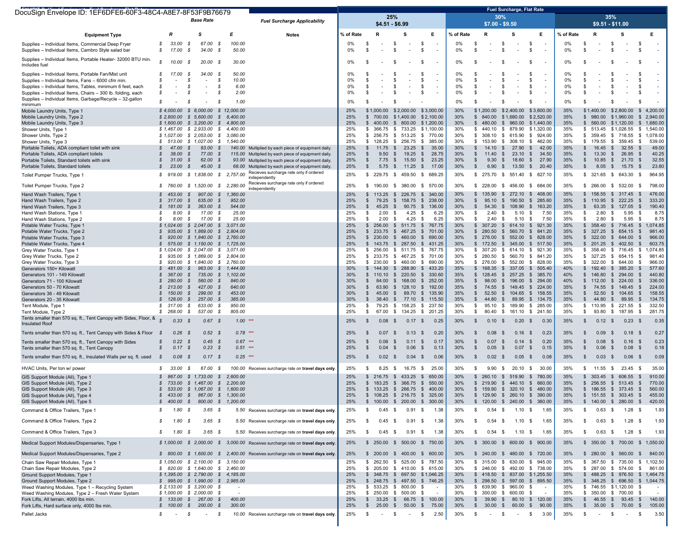| DocuSign Envelope ID: 1EF6DFE6-60F3-48C4-A8E7-8F53F9B76679                                                               |                                        |                                                                 |                                                    |                                                                                                                                                                    |            |                                        |                          |                          | <b>Fuel Surcharge, Flat Rate</b>                               |            |                                                          |                                              |                                                                  |            |                                                           |                                      |                                    |
|--------------------------------------------------------------------------------------------------------------------------|----------------------------------------|-----------------------------------------------------------------|----------------------------------------------------|--------------------------------------------------------------------------------------------------------------------------------------------------------------------|------------|----------------------------------------|--------------------------|--------------------------|----------------------------------------------------------------|------------|----------------------------------------------------------|----------------------------------------------|------------------------------------------------------------------|------------|-----------------------------------------------------------|--------------------------------------|------------------------------------|
|                                                                                                                          |                                        | <b>Base Rate</b>                                                |                                                    | <b>Fuel Surcharge Applicability</b>                                                                                                                                |            |                                        | 25%<br>$$4.51 - $6.99$   |                          |                                                                |            | 30%<br>$$7.00 - $9.50$                                   |                                              |                                                                  |            |                                                           | 35%<br>$$9.51 - $11.00$              |                                    |
| <b>Equipment Type</b>                                                                                                    | $\boldsymbol{R}$                       | s                                                               | E                                                  | <b>Notes</b>                                                                                                                                                       | % of Rate  |                                        | s                        |                          | Е                                                              | % of Rate  | R                                                        | s                                            | Е                                                                | % of Rate  | R                                                         | s                                    | Е                                  |
| Supplies - Individual Items, Commercial Deep Fryer<br>Supplies - Individual Items, Cambro Style salad bar                | s<br>33.00<br>s<br>17.00               | \$<br>67.00<br>- \$<br>34.00                                    | - \$<br>100.00<br>- \$<br>50.00                    |                                                                                                                                                                    | 0%<br>0%   | - \$<br>- \$                           | \$<br>\$                 | $\overline{\phantom{a}}$ | - \$<br>- \$                                                   | 0%<br>0%   | - \$<br>S                                                | \$<br>\$                                     | \$<br>$\overline{\phantom{a}}$<br>-S<br>$\overline{\phantom{a}}$ | 0%<br>0%   | - \$<br>-S                                                | \$<br>$\overline{\phantom{a}}$<br>\$ | - \$<br>-\$                        |
| Supplies - Individual Items, Portable Heater- 32000 BTU min.<br>includes fuel                                            | s<br>10.00                             | 20.00<br>- \$                                                   | 30.00<br>- 55                                      |                                                                                                                                                                    | 0%         |                                        | \$                       |                          | - \$                                                           | 0%         |                                                          |                                              | \$                                                               | 0%         | ŝ.                                                        | s.                                   | S                                  |
| Supplies - Individual Items, Portable Fan/Mist unit                                                                      | s<br>17.00                             | - \$<br>34.00                                                   | 50.00<br>- \$                                      |                                                                                                                                                                    | 0%         |                                        | \$                       | $\overline{\phantom{a}}$ | - \$                                                           | 0%         |                                                          | -S                                           | -S<br>$\overline{\phantom{a}}$                                   | 0%         | -S                                                        | \$.                                  | - \$                               |
| Supplies - Individual Items, Fans - 6000 cfm min.                                                                        | S<br>s                                 | <b>S</b><br>s                                                   | - \$<br>10.00<br>-S                                |                                                                                                                                                                    | 0%<br>0%   |                                        | \$                       |                          | -\$                                                            | 0%<br>0%   | \$                                                       | \$                                           | \$.<br>$\overline{\phantom{a}}$<br>-S                            | 0%<br>0%   | £.<br>\$                                                  | $\mathbf{\hat{S}}$<br>\$             | \$.                                |
| Supplies - Individual Items, Tables, minimum 6 feet, each<br>Supplies - Individual Items, Chairs - 300 lb, folding, each | s                                      | S                                                               | 6.00<br>2.00<br>- \$                               |                                                                                                                                                                    | 0%         |                                        | -\$<br>-\$               | $\overline{\phantom{a}}$ | -\$<br>-\$                                                     | 0%         | S<br>S                                                   | -S                                           | $\overline{\phantom{a}}$<br>- \$<br>$\overline{\phantom{a}}$     | 0%         | S                                                         | S.                                   | S<br>- 35                          |
| Supplies - Individual Items, Garbage/Recycle - 32-gallon                                                                 | s                                      | S                                                               | - \$<br>1.00                                       |                                                                                                                                                                    | 0%         |                                        | £.                       |                          |                                                                | 0%         | S                                                        |                                              | - \$                                                             | 0%         | S                                                         | \$.                                  | æ.                                 |
| minimum<br>Mobile Laundry Units, Type 1                                                                                  | \$4,000.00                             | \$8,000.00                                                      | \$12,000.00                                        |                                                                                                                                                                    | 25%        | \$1,000.00                             | \$2,000.00               |                          | \$3,000.00                                                     | 30%        | \$1,200.00                                               | \$2,400.00                                   | \$3,600.00                                                       | 35%        | \$1,400.00                                                | \$2,800.00                           | \$4,200.00                         |
| Mobile Laundry Units, Type 2                                                                                             |                                        | $$2,800.00$ $$5,600.00$                                         | $\mathcal{S}$<br>8,400.00                          |                                                                                                                                                                    | 25%        | \$700.00                               | \$1,400.00               |                          | \$2,100.00                                                     | 30%        | $\mathbb{S}$<br>840.00                                   | \$1,680.00                                   | \$2,520.00                                                       | 35%        | \$ 980.00 \$1,960.00                                      |                                      | \$2,940.00                         |
| Mobile Laundry Units, Type 3                                                                                             | \$1,600.00                             | \$3,200,00                                                      | $\mathcal{S}$<br>4,800.00                          |                                                                                                                                                                    | 25%        | \$400.00                               | $\mathbb{S}$             | 800.00                   | \$1,200.00                                                     | 30%        | $\mathbb{S}$<br>480.00                                   | \$960.00                                     | \$1,440.00                                                       | 35%        | \$ 560.00 \$1,120.00                                      |                                      | \$1,680.00                         |
| Shower Units, Type 1<br>Shower Units, Type 2                                                                             | \$1,467.00<br>\$1,027.00               | \$2,933.00<br>\$2,053.00                                        | S.<br>4,400.00<br>$\mathcal{S}$<br>3,080.00        |                                                                                                                                                                    | 25%<br>25% | \$<br>366.75<br>\$256.75               | - \$<br>\$513.25         | 733.25                   | \$1,100.00<br>\$<br>770.00                                     | 30%<br>30% | 440.10<br>s.<br>308.10<br>\$                             | \$ 879.90<br>\$ 615.90                       | \$1,320,00<br>\$<br>924.00                                       | 35%<br>35% | \$ 513.45 \$1,026.55<br>\$ 359.45 \$ 718.55               |                                      | \$<br>1,540.00<br>\$<br>1,078.00   |
| Shower Units, Type 3                                                                                                     | s.<br>513.00                           | \$1,027.00                                                      | $\mathcal{S}$<br>1,540.00                          |                                                                                                                                                                    | 25%        | \$128.25                               | \$ 256.75                |                          | 385.00<br>\$                                                   | 30%        | 153.90<br>\$                                             | \$ 308.10                                    | - \$<br>462.00                                                   | 35%        | \$ 179.55 \$ 359.45                                       |                                      | 539.00<br>- \$                     |
| Portable Toilets, ADA compliant toilet with sink                                                                         | s<br>47.00                             | - \$<br>93.00                                                   | - \$                                               | 140.00 Multiplied by each piece of equipment daily.                                                                                                                | 25%        | 11.75<br>-S                            | \$                       | 23.25                    | 35.00<br>- \$                                                  | 30%        | -S<br>14.10                                              | S.<br>27.90                                  | - \$<br>42.00                                                    | 35%        | S.<br>16.45                                               | 32.55<br>S.                          | 49.00<br>- \$                      |
| Portable Toilets, ADA compliant toilets<br>Portable Toilets, Standard toilets with sink                                  | s<br>38.00<br>s<br>31.00               | - \$<br>77.00<br>$\mathcal{S}$<br>62.00                         | $\mathcal{S}$<br>115.00<br>- \$                    | Multiplied by each piece of equipment daily.<br>93.00 Multiplied by each piece of equipment daily.                                                                 | 25%<br>25% | 9.50<br>\$<br>$\mathfrak s$<br>7.75    | \$<br>$\mathfrak s$      | 19.25<br>15.50           | 28.75<br>- \$<br>23.25<br>\$                                   | 30%<br>30% | $\mathbb{S}$<br>11.40<br>$\mathbb{S}$<br>9.30            | $\mathbb{S}$<br>23.10<br>$\sqrt{2}$<br>18.60 | \$<br>34.50<br>27.90<br>- \$                                     | 35%<br>35% | 13.30<br>S.<br>10.85<br>S.                                | 26.95<br>S.<br>21.70<br>-S           | 40.25<br>-\$<br>\$<br>32.55        |
| Portable Toilets, Standard toilets                                                                                       | s<br>23.00                             | $\mathcal{S}$<br>45.00                                          | - \$                                               | 68.00 Multiplied by each piece of equipment daily.                                                                                                                 | 25%        | \$                                     | $5.75$ \$                | 11.25                    | \$<br>17.00                                                    | 30%        | 6.90<br>S.                                               | \$ 13.50                                     | $\mathbb{S}$<br>20.40                                            | 35%        | S.                                                        | 8.05 \$ 15.75                        | 23.80<br>- \$                      |
| Toilet Pumper Trucks, Type 1                                                                                             | s<br>919.00                            | $$1,838.00$ $$2,757.00$                                         |                                                    | Recieves surcharge rate only if ordered                                                                                                                            | 25%        | \$ 229.75 \$ 459.50                    |                          |                          | 689.25<br>- \$                                                 | 30%        | 275.70<br>s.                                             | \$ 551.40                                    | 827.10<br><b>S</b>                                               | 35%        | $$321.65$ \$643.30 \$                                     |                                      | 964.95                             |
| Toilet Pumper Trucks, Type 2                                                                                             | s<br>760.00                            | $$1,520.00$ $$2,280.00$                                         |                                                    | independently<br>Recieves surcharge rate only if ordered<br>independently                                                                                          | 25%        | 190.00<br>S.                           | \$ 380.00                |                          | - \$<br>570.00                                                 | 30%        | s.<br>228.00                                             | \$456.00                                     | <b>S</b><br>684.00                                               | 35%        | \$ 266.00 \$ 532.00 \$                                    |                                      | 798.00                             |
| Hand Wash Trailers, Type 1                                                                                               | 453.00<br>s.                           | 907.00<br>S.                                                    | $\mathcal{S}$<br>1,360.00                          |                                                                                                                                                                    | 25%        | \$113.25                               | \$226.75                 |                          | 340.00<br>\$                                                   | 30%        | 135.90<br>-S.                                            | \$272.10                                     | 408.00<br>- \$                                                   | 35%        | \$158.55                                                  | \$317.45                             | 476.00<br>- \$                     |
| Hand Wash Trailers, Type 2                                                                                               | s<br>317.00                            | $\mathcal{S}$<br>635.00                                         | $\mathcal{S}$<br>952.00                            |                                                                                                                                                                    | 25%        | 79.25<br>- \$                          | \$                       | 158.75                   | 238.00<br>\$                                                   | 30%        | 95.10<br>\$                                              | 190.50<br>S.                                 | 285.60<br>- \$                                                   | 35%        | \$110.95                                                  | $\mathbb{S}$<br>222.25               | 333.20<br>- \$                     |
| Hand Wash Trailers, Type 3<br>Hand Wash Stations, Type 1                                                                 | s<br>181.00<br>s<br>8.00               | 363.00<br>S.<br>17.00<br>S                                      | $\mathcal{S}$<br>544.00<br>25.00<br>- \$           |                                                                                                                                                                    | 25%<br>25% | 45.25<br>-S<br>2.00<br>\$              | \$<br>- \$               | 90.75<br>4.25            | 136.00<br>\$<br>- \$<br>6.25                                   | 30%<br>30% | \$<br>54.30<br>2.40<br>\$                                | S.<br>108.90<br>\$<br>5.10                   | - \$<br>163.20<br>- \$<br>7.50                                   | 35%<br>35% | 63.35<br>s.<br>2.80<br>\$                                 | \$127.05<br>5.95<br>-S               | 190.40<br>- \$<br>8.75<br>- \$     |
| Hand Wash Stations, Type 2                                                                                               | S<br>8.00                              | - \$<br>17.00                                                   | - \$<br>25.00                                      |                                                                                                                                                                    | 25%        | 2.00<br>-S                             | \$                       | 4.25                     | 6.25<br>- \$                                                   | 30%        | - \$<br>2.40                                             | -S<br>5.10                                   | -S<br>7.50                                                       | 35%        | -S<br>2.80                                                | -S<br>5.95                           | - \$<br>8.75                       |
| Potable Water Trucks, Type 1                                                                                             | \$1,024.00                             | \$2,047.00                                                      | $\mathcal{S}$<br>3,071.00                          |                                                                                                                                                                    | 25%        | \$256.00                               | \$511.75                 |                          | 767.75<br>\$                                                   | 30%        | 307.20<br>\$                                             | \$614.10                                     | 921.30<br>- \$                                                   | 35%        | \$358.40                                                  | \$716.45                             | 1,074.85<br>- \$                   |
| Potable Water Trucks, Type 2<br>Potable Water Trucks, Type 3                                                             | s<br>935.00<br>s<br>920.00             | \$1.869.00<br>\$1,840.00                                        | S.<br>2,804.00<br>$\mathcal{S}$<br>2,760.00        |                                                                                                                                                                    | 25%<br>25% | 233.75<br>S.<br>\$230.00               | - \$<br>$\mathbb{S}$     | 467.25<br>460.00         | \$<br>701.00<br>690.00<br>\$                                   | 30%<br>30% | 280.50<br>\$<br>$\mathfrak s$<br>276.00                  | 560.70<br>S.<br>$\mathbb{S}$<br>552.00       | - \$<br>841.20<br>$\mathbb{S}$<br>828.00                         | 35%<br>35% | \$327.25<br>\$322.00                                      | 654.15<br>S.<br>S.<br>644.00         | 981.40<br>- \$<br>966.00<br>\$     |
| Potable Water Trucks, Type 4                                                                                             | s<br>575.00                            | \$1,150.00                                                      | \$1,725.00                                         |                                                                                                                                                                    | 25%        | $$143.75$ $$287.50$                    |                          |                          | \$<br>431.25                                                   | 30%        | \$172.50                                                 | \$345.00                                     | -S<br>517.50                                                     | 35%        | \$201.25                                                  | 402.50<br>-S                         | - \$<br>603.75                     |
| Grey Water Trucks, Type 1                                                                                                | \$1,024.00                             | \$2,047.00                                                      | S.<br>3,071.00                                     |                                                                                                                                                                    | 25%        | \$<br>256.00                           | \$511.75                 |                          | \$<br>767.75                                                   | 30%        | 307.20<br>\$                                             | \$614.10                                     | - \$<br>921.30                                                   | 35%        | \$ 358.40                                                 | \$716.45                             | - \$<br>1,074.85                   |
| Grey Water Trucks, Type 2<br>Grey Water Trucks, Type 3                                                                   | \$<br>935.00<br>s.<br>920.00           | \$1,869.00<br>\$1,840.00                                        | $\mathcal{S}$<br>2,804.00<br>s.<br>2,760.00        |                                                                                                                                                                    | 25%<br>25% | \$ 233.75 \$ 467.25<br>\$230.00        | \$460.00                 |                          | 701.00<br>\$<br>690.00<br>\$                                   | 30%<br>30% | 280.50<br>\$<br>276.00<br>-S                             | \$ 560.70<br>\$552.00                        | 841.20<br>- \$<br>828.00<br>- \$                                 | 35%<br>35% | \$ 327.25 \$ 654.15<br>\$322.00                           | 644.00<br>- \$                       | 981.40<br>- \$<br>966.00<br>- \$   |
| Generators 150+ Kilowatt                                                                                                 | S<br>481.00                            | 963.00<br>- \$                                                  | 1,444.00<br>S.                                     |                                                                                                                                                                    | 30%        | 144.30                                 | \$288.90                 |                          | 433.20<br>- \$                                                 | 35%        | 168.35<br>\$                                             | 337.05<br>S.                                 | 505.40<br>- \$                                                   | 40%        | 192.40<br>$\mathbb{S}$                                    | 385.20<br>S.                         | 577.60<br>- \$                     |
| Generators 101 - 149 Kilowatt                                                                                            | s<br>367.00                            | 735.00<br>S.                                                    | $\mathcal{S}$<br>1,102.00                          |                                                                                                                                                                    | 30%        | \$110.10                               | \$220.50                 |                          | 330.60<br>\$                                                   | 35%        | 128.45<br>\$                                             | \$257.25                                     | - \$<br>385.70                                                   | 40%        | \$146.80                                                  | 294.00<br>S.                         | 440.80<br>- \$                     |
| Generators 71 - 100 Kilowatt<br>Generators 50 - 70 Kilowatt                                                              | 280.00<br>s<br>$\mathcal{S}$<br>213.00 | 560.00<br>S.<br>$\mathcal{S}$<br>427.00                         | $\mathcal{S}$<br>840.00<br>$\mathcal{S}$<br>640.00 |                                                                                                                                                                    | 30%<br>30% | 84.00<br>\$<br>$\mathfrak{L}$<br>63.90 | - \$<br>$\mathbb{S}$     | 168.00<br>128.10         | 252.00<br>\$<br>192.00<br>- \$                                 | 35%<br>35% | \$<br>98.00<br>$\mathfrak{L}$<br>74.55                   | 196.00<br>S.<br>$\mathbb{S}$<br>149.45       | 294.00<br>-S<br>$\mathbb{S}$<br>224.00                           | 40%<br>35% | \$112.00<br>$\mathbb{S}$<br>74.55                         | 224.00<br>-S<br>S.<br>149.45         | 336.00<br>- \$<br>-\$<br>224.00    |
| Generators 36 - 49 Kilowatt                                                                                              | S.<br>150.00                           | 299.00<br>s                                                     | 453.00<br>- \$                                     |                                                                                                                                                                    | 30%        | 45.00<br>\$                            | - \$                     | 89.70                    | \$<br>135.90                                                   | 35%        | 52.50<br>\$                                              | \$104.65                                     | S.<br>158.55                                                     | 35%        | 52.50<br>S.                                               | \$104.65                             | 158.55<br>\$                       |
| Generators 20 - 35 Kilowatt                                                                                              | 128.00<br>s<br>317.00<br>s             | 257.00<br>S.<br>S<br>633.00                                     | 385.00<br>- \$<br>- \$<br>950.00                   |                                                                                                                                                                    | 30%<br>25% | 38.40<br>-S<br>-S                      | - \$                     | 77.10<br>158.25          | 115.50<br>- \$<br>237.50                                       | 35%<br>30% | 44.80<br>\$<br>\$<br>95.10                               | 89.95<br>S.<br>\$<br>189.90                  | 134.75<br>-S<br>285.00                                           | 35%<br>35% | 44.80<br>S.<br>110.95                                     | 89.95<br>S.<br>\$                    | 134.75<br>-\$                      |
| Tent Module, Type 1<br>Tent Module, Type 2                                                                               | s<br>268.00                            | 537.00 \$<br>- \$                                               | 805.00                                             |                                                                                                                                                                    | 25%        | 79.25<br>67.00<br>\$                   | \$<br>\$134.25           |                          | - \$<br>\$201.25                                               | 30%        | 80.40<br>\$                                              | - \$<br>161.10                               | \$<br>- \$<br>241.50                                             | 35%        | -S<br>93.80<br>S.                                         | 221.55<br>\$187.95 \$                | 332.50<br>- \$<br>281.75           |
| Tents smaller than 570 sq. ft., Tent Canopy with Sides, Floor, &<br><b>Insulated Roof</b>                                | 0.33                                   | 0.67<br>- 3                                                     | $1.00$ ***<br>- \$                                 |                                                                                                                                                                    | 25%        | 0.08                                   | - \$                     | 0.17                     | 0.25<br>- \$                                                   | 30%        | 0.10<br>S                                                | 0.20<br>- \$                                 | - \$<br>0.30                                                     | 35%        | \$<br>$0.12 \quad$                                        | 0.23                                 | 0.35<br>- \$                       |
| Tents smaller than 570 sq. ft., Tent Canopy with Sides & Floor                                                           | 0.26<br>- \$                           | 0.52S<br>- \$                                                   | $0.78$ ***                                         |                                                                                                                                                                    | 25%        | 0.07<br>- \$                           | - \$                     | 0.13                     | 0.20<br>- \$                                                   | 30%        | \$<br>0.08                                               | - \$<br>$0.16$ \$                            | 0.23                                                             | 35%        | 0.09<br>-S                                                | - \$<br>$0.18$ \$                    | 0.27                               |
| Tents smaller than 570 sq. ft., Tent Canopy with Sides<br>Tents smaller than 570 sq. ft., Tent Canopy                    | s<br>0.22<br>s<br>0.17                 | 0.45<br>- 3<br>0.23<br>$\mathcal{S}$                            | $0.67$ ***<br>- \$<br>$0.51$ ***<br>- \$           |                                                                                                                                                                    | 25%<br>25% | -\$<br>0.06<br>0.04<br>$\mathbf{\$}$   | - \$<br>- \$             | 0.11<br>0.06             | 0.17<br>- \$<br>\$<br>0.13                                     | 30%<br>30% | 0.07<br>-\$<br>0.05<br>$\frac{1}{2}$                     | -S<br>0.14<br>\$<br>0.07                     | 0.20<br>- \$<br>\$<br>0.15                                       | 35%<br>35% | -S<br>0.08<br>0.06<br>$\sqrt{2}$                          | S.<br>0.16<br>\$<br>0.08             | 0.23<br>- \$<br>0.18<br>$\sqrt{3}$ |
| Tents smaller than 570 sq. ft., Insulated Walls per sq. ft. used                                                         | $\mathcal{S}$<br>0.08                  | 0.17S<br>- \$                                                   | $0.25$ ***                                         |                                                                                                                                                                    | 25%        | 0.02<br>- \$                           | - \$                     | 0.04                     | 0.06<br>- \$                                                   | 30%        | 0.02<br>\$                                               | $0.05$ \$<br>-\$                             | 0.08                                                             | 35%        | $0.03$ \$<br>-S                                           | $0.06$ \$                            | 0.09                               |
| HVAC Units. Per ton w/ power                                                                                             | 33.00<br>s                             | 67.00<br>- \$                                                   | - \$                                               | 100.00 Receives surcharge rate on travel days only.                                                                                                                | 25%        | 8.25<br>- 5                            | - \$                     | 16.75                    | 25.00<br>- \$                                                  | 30%        | 9.90<br>-\$                                              | 20.10<br>-S                                  | 30.00<br>- \$                                                    | 35%        | $11.55$ \$<br>S.                                          | 23.45                                | 35.00<br>- \$                      |
| GIS Support Module (All), Type 1                                                                                         | S.<br>867.00                           | \$1,733.00                                                      | $\mathcal{S}$<br>2,600.00                          |                                                                                                                                                                    | 25%        | $$216.75$ $$433.25$                    |                          |                          | \$<br>650.00                                                   | 30%        | 260.10<br>\$                                             | \$519.90                                     | - \$<br>780.00                                                   | 35%        | \$ 303.45 \$ 606.55                                       |                                      | 910.00<br>- \$                     |
| GIS Support Module (All), Type 2<br>GIS Support Module (All), Type 3                                                     | S<br>733.00<br>533.00<br>s             | \$1,467.00<br>\$ 1.067.00 \$ 1.600.00                           | 2,200.00<br>s.                                     |                                                                                                                                                                    | 25%<br>25% | \$183.25<br>\$                         | - \$<br>133.25 \$ 266.75 | 366.75                   | 550.00<br>\$<br>400.00<br>\$                                   | 30%<br>30% | 219.90<br>$\mathbf{s}$<br>159.90<br>\$                   | 440.10<br>S.<br>\$320.10                     | 660.00<br>- \$<br>480.00<br>- \$                                 | 35%<br>35% | \$256.55<br>$$186.55$ $$373.45$                           | \$513.45                             | 770.00<br>- \$<br>560.00<br>- \$   |
| GIS Support Module (All), Type 4                                                                                         |                                        | \$ 433.00 \$ 867.00 \$ 1,300.00                                 |                                                    |                                                                                                                                                                    | 25%        |                                        |                          |                          | \$ 108.25 \$ 216.75 \$ 325.00                                  | 30%        | \$129.90 \$260.10 \$                                     |                                              | 390.00                                                           | 35%        | $$151.55$ \$ 303.45 \$                                    |                                      | 455.00                             |
| GIS Support Module (All), Type 5                                                                                         | 400.00                                 | $\mathcal{S}$                                                   | 800.00 \$ 1,200.00                                 |                                                                                                                                                                    | 25%        | 100.00                                 | \$200.00                 |                          | $\sqrt[6]{3}$<br>300.00                                        | 30%        | 120.00<br>\$                                             | $\sqrt[6]{\frac{1}{2}}$<br>240.00            | $\sqrt{3}$<br>360.00                                             | 35%        | 140.00<br>\$                                              | 280.00<br>\$                         | 420.00<br>-\$                      |
| Command & Office Trailers, Type 1                                                                                        | 1.80<br>s                              | - \$<br>$3.65$ \$                                               |                                                    | 5.50 Receives surcharge rate on travel days only.                                                                                                                  | 25%        | 0.45<br>- 5                            | - \$                     | 0.91                     | 1.38<br>- \$                                                   | 30%        | $0.54$ \$<br>S                                           | $1.10 \t S$                                  | 1.65                                                             | 35%        | $0.63$ \$<br>\$                                           | $1.28$ \$                            | 1.93                               |
| Command & Office Trailers, Type 2                                                                                        | 1.80<br>S                              | $3.65$ \$<br>- \$                                               |                                                    | 5.50 Receives surcharge rate on travel days only.                                                                                                                  | 25%        | 0.45<br>- 95                           | - \$                     | 0.91                     | 1.38<br>- \$                                                   | 30%        | $0.54$ \$<br>\$.                                         | $1.10 \t S$                                  | 1.65                                                             | 35%        | $0.63$ \$<br>-S                                           | $1.28$ \$                            | 1.93                               |
| Command & Office Trailers, Type 3                                                                                        | s<br>1.80                              | $3.65$ \$<br>- \$                                               |                                                    | 5.50 Receives surcharge rate on travel days only.                                                                                                                  | 25%        | 0.45                                   | - \$                     | 0.91                     | -\$<br>1.38                                                    | 30%        | 0.54<br>S                                                | - \$<br>$1.10 \t S$                          | 1.65                                                             | 35%        | \$<br>$0.63$ \$                                           | 1.28                                 | 1.93<br>- \$                       |
| Medical Support Modules/Dispensaries, Type 1<br>Medical Support Modules/Dispensaries, Type 2                             |                                        |                                                                 |                                                    | \$ 1,000.00 \$ 2,000.00 \$ 3,000.00 Receives surcharge rate on travel days only.<br>\$ 800.00 \$ 1,600.00 \$ 2,400.00 Receives surcharge rate on travel days only. | 25%<br>25% |                                        |                          |                          | \$ 250.00 \$ 500.00 \$ 750.00<br>\$ 200.00 \$ 400.00 \$ 600.00 | 30%<br>30% | $$300.00$$ \$ 600.00 \$<br>\$ 240.00 \$ 480.00 \$ 720.00 |                                              | 900.00                                                           | 35%<br>35% | \$ 350.00 \$ 700.00 \$ 1,050.00<br>\$ 280.00 \$ 560.00 \$ |                                      | 840.00                             |
| Chain Saw Repair Modules, Type 1                                                                                         |                                        | $$1,050.00$ $$2,100.00$ $$3,150.00$                             |                                                    |                                                                                                                                                                    | 25%        | \$ 262.50 \$ 525.00                    |                          |                          | \$787.50                                                       | 30%        | \$ 315.00 \$ 630.00 \$ 945.00                            |                                              |                                                                  | 35%        | \$ 367.50 \$ 735.00 \$ 1,102.50                           |                                      |                                    |
| Chain Saw Repair Modules, Type 2                                                                                         |                                        | \$ 820.00 \$ 1,640.00 \$ 2,460.00                               |                                                    |                                                                                                                                                                    | 25%        |                                        |                          |                          | \$ 205.00 \$ 410.00 \$ 615.00                                  | 30%        | \$ 246.00 \$ 492.00 \$ 738.00                            |                                              |                                                                  | 35%        | \$ 287.00 \$ 574.00 \$                                    |                                      | 861.00                             |
| Ground Support Modules, Type 1                                                                                           |                                        | \$1,395.00 \$2,790.00 \$4,185.00                                |                                                    |                                                                                                                                                                    | 25%        |                                        |                          |                          | \$ 348.75 \$ 697.50 \$1,046.25                                 | 30%        | \$ 418.50 \$ 837.00 \$1,255.50                           |                                              |                                                                  | 35%        |                                                           |                                      | \$ 488.25 \$ 976.50 \$ 1,464.75    |
| Ground Support Modules, Type 2<br>Weed Washing Modules, Type 1 - Recycling System                                        |                                        | \$ 995.00 \$ 1,990.00 \$ 2,985.00<br>$$2,133.00$ \$ 3,200.00 \$ | $\sim$                                             |                                                                                                                                                                    | 25%<br>25% | \$533.25\$800.00                       |                          | - \$                     | \$ 248.75 \$ 497.50 \$ 746.25                                  | 30%<br>30% | \$ 298.50 \$ 597.00 \$ 895.50<br>\$ 639.90 \$ 960.00     |                                              | - \$<br>$\sim$                                                   | 35%<br>35% | \$ 348.25 \$ 696.50 \$ 1,044.75<br>\$746.55 \$1,120.00 \$ |                                      |                                    |
| Weed Washing Modules, Type 2 - Fresh Water System                                                                        |                                        | $$1,000.00 \$2,000.00 \$$                                       |                                                    |                                                                                                                                                                    | 25%        | $$250.00$$ \$ 500.00 \$                |                          |                          |                                                                | 30%        | \$ 300.00 \$ 600.00 \$                                   |                                              |                                                                  | 35%        | \$ 350.00 \$ 700.00 \$                                    |                                      |                                    |
| Fork Lifts, All terrain, 4000 lbs min.                                                                                   |                                        | $$133.00 \t$ 267.00 \t$$                                        | 400.00                                             |                                                                                                                                                                    | 25%        |                                        |                          |                          | $$33.25$ \$66.75 \$100.00                                      | 30%        | \$                                                       |                                              | 39.90 \$ 80.10 \$ 120.00                                         | 35%        | $$46.55$ \$93.45 \$                                       |                                      | 140.00                             |
| Fork Lifts, Hard surface only, 4000 lbs min.                                                                             |                                        | \$ 100.00 \$ 200.00 \$                                          | 300.00                                             |                                                                                                                                                                    | 25%        |                                        |                          |                          | \$ 25.00 \$ 50.00 \$ 75.00                                     | 30%        | \$ 30.00 \$ 60.00 \$                                     |                                              | 90.00                                                            | 35%        | $$35.00 \$70.00 \$$                                       |                                      | 105.00                             |
| Pallet Jacks                                                                                                             | s<br>$\sim$                            | S.<br>$\sim$ 10 $\pm$                                           | - \$                                               | 10.00 Receives surcharge rate on travel days only.                                                                                                                 | 25%        | \$                                     | $-$ \$                   | $\sim 100$ km s $^{-1}$  | 2.50<br>- \$                                                   | 30%        | \$<br>$\sim 10^{-11}$                                    | \$<br>$\sim$                                 | 3.00<br>\$                                                       | 35%        | $-$ \$<br>S,                                              | $\sim 10^{-10}$                      | 3.50<br>- \$                       |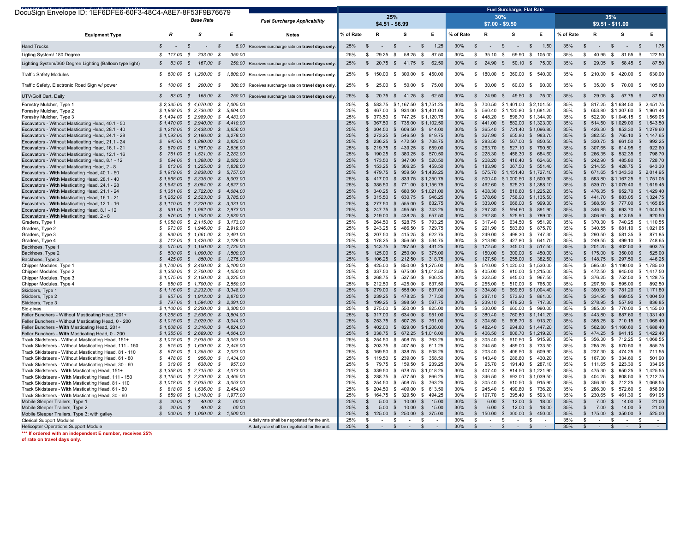| DocuSign Envelope ID: 1EF6DFE6-60F3-48C4-A8E7-8F53F9B76679 |                         |                                          |          |                                                       |           |                              |                             |                     |                               |           |                             | <b>Fuel Surcharge, Flat Rate</b> |                                |           |                              |                        |                            |
|------------------------------------------------------------|-------------------------|------------------------------------------|----------|-------------------------------------------------------|-----------|------------------------------|-----------------------------|---------------------|-------------------------------|-----------|-----------------------------|----------------------------------|--------------------------------|-----------|------------------------------|------------------------|----------------------------|
|                                                            |                         |                                          |          |                                                       |           |                              | 25%                         |                     |                               |           |                             | 30%                              |                                |           |                              | 35%                    |                            |
|                                                            |                         | <b>Base Rate</b>                         |          | <b>Fuel Surcharge Applicability</b>                   |           |                              | $$4.51 - $6.99$             |                     |                               |           |                             | $$7.00 - $9.50$                  |                                |           |                              | \$9.51 - \$11.00       |                            |
|                                                            |                         |                                          |          |                                                       |           |                              |                             |                     |                               |           |                             |                                  |                                |           |                              |                        |                            |
| <b>Equipment Type</b>                                      | $\boldsymbol{R}$        | <b>s</b>                                 | E        | <b>Notes</b>                                          | % of Rate | R                            |                             | S                   | E                             | % of Rate | R                           | s                                | E.                             | % of Rate | R                            | s                      | Е                          |
|                                                            |                         |                                          |          |                                                       |           |                              |                             |                     |                               |           |                             |                                  |                                |           |                              |                        |                            |
| <b>Hand Trucks</b>                                         | $\mathcal{S}$           | $\mathcal{S}$<br>$\sim$<br>$\mathcal{S}$ |          | 5.00 Receives surcharge rate on travel days only      | 25%       | \$                           | $\mathfrak s$               | $\sim$              | 1.25<br>\$                    | 30%       | $\mathbb{S}$<br>$\sim$      | $\mathbb{S}$<br>$\sim$           | 1.50<br>\$                     | 35%       | $\mathbb{S}$<br>$\sim$       | $\mathbb{S}$<br>$\sim$ | 1.75<br>\$                 |
| Ligting System/ 180 Degree                                 | \$117.00                | $\mathcal{S}$<br>233.00<br>- \$          | 350.00   |                                                       | 25%       | S                            | 29.25 \$                    | 58.25               | \$<br>87.50                   | 30%       | 35.10 \$<br>\$              |                                  | 69.90 \$ 105.00                | 35%       | 40.95 \$<br>S                | 81.55                  | 122.50<br>\$               |
|                                                            | $\mathcal{S}$<br>83.00  | $\mathcal{S}$<br>167.00 \$               |          | 250.00 Receives surcharge rate on travel days only    | 25%       | $\mathbb{S}$                 | $20.75$ \$                  | 41.75               | \$<br>62.50                   | 30%       | \$<br>24.90                 | $\mathbb{S}$                     | $50.10$ \$<br>75.00            | 35%       | $\mathbb{S}$                 | 29.05 \$ 58.45         | 87.50<br>\$                |
| Lighting System/360 Degree Lighting (Balloon type light)   |                         |                                          |          |                                                       |           |                              |                             |                     |                               |           |                             |                                  |                                |           |                              |                        |                            |
| <b>Traffic Safety Modules</b>                              | \$600.00                | $$1,200.00$ \$                           |          | 1,800.00 Receives surcharge rate on travel days only. | 25%       | 150.00<br>\$                 |                             | \$ 300.00 \$        | 450.00                        | 30%       |                             | \$ 180.00 \$ 360.00              | \$<br>540.00                   | 35%       | \$                           | 210.00 \$ 420.00       | 630.00<br>- \$             |
| Traffic Safety, Electronic Road Sign w/ power              | \$100.00                | 200.00 \$<br>S                           |          | 300.00 Receives surcharge rate on travel days only.   | 25%       | 25.00<br>- \$                | \$                          | $50.00\text{ }$$    | 75.00                         | 30%       | 30.00<br>$\mathbf{\hat{z}}$ | $\mathbb{S}$<br>60.00 \$         | 90.00                          | 35%       | - \$                         | 35.00 \$ 70.00         | 105.00<br>- \$             |
| UTV/Golf Cart, Daily                                       | \$83.00                 | 165.00 \$<br>$\mathcal{S}$               |          | 250.00 Receives surcharge rate on travel days only    | 25%       | $\mathfrak{L}$               | $20.75$ \$                  | $41.25$ \$          | 62.50                         | 30%       | 24.90<br><sup>\$</sup>      | 49.50<br>$\mathbb{S}$            | $\mathbb{S}$<br>75.00          | 35%       | $\mathbf{s}$                 | 29.05 \$ 57.75         | 87.50<br>-\$               |
| Forestry Mulcher, Type 1                                   | \$2,335.00              | $$4,670.00$ \$                           | 7,005.00 |                                                       | 25%       | s.                           |                             | 583.75 \$1,167.50   | \$1,751.25                    | 30%       | \$ 700.50                   | \$1,401.00                       | \$2,101.50                     | 35%       | $\mathbb{S}$                 | 817.25 \$1,634.50      | \$2,451.75                 |
| Forestry Mulcher, Type 2                                   |                         | $$1,868.00$ \$ 3,736.00 \$               | 5.604.00 |                                                       | 25%       | 467.00<br>\$                 |                             | \$934.00            | \$1,401.00                    | 30%       |                             | \$ 560.40 \$1,120.80             | \$1.681.20                     | 35%       | \$653.80                     | \$1,307.60             | \$1,961.40                 |
| Forestry Mulcher, Type 3                                   | \$1,494.00              | $$2,989.00$ $$4,483.00$                  |          |                                                       | 25%       |                              |                             | \$ 373.50 \$ 747.25 | \$1,120.75                    | 30%       |                             |                                  | \$448.20 \$896.70 \$1,344.90   | 35%       | \$522.90                     | \$1,046.15             | \$1,569.05                 |
| Excavators - Without Masticating Head, 40.1 - 50           |                         | \$1,470.00 \$2,940.00 \$4,410.00         |          |                                                       | 25%       |                              |                             | \$ 367.50 \$ 735.00 | \$1,102.50                    | 30%       |                             | \$441.00 \$882.00                | \$1,323.00                     | 35%       | \$ 514.50 \$1.029.00         |                        | \$1,543.50                 |
| Excavators - Without Masticating Head, 28.1 - 40           | \$1,218.00              | $$2,438.00$ \$                           | 3,656.00 |                                                       | 25%       | 304.50<br>$\mathbf{s}$       | \$                          | 609.50              | $\mathfrak s$<br>914.00       | 30%       | \$365.40                    | \$731.40                         | \$1,096.80                     | 35%       | \$426.30                     | \$853.30               | 1,279.60<br>\$             |
| Excavators - Without Masticating Head, 24.1 - 28           | \$1,093.00              | $$2,186.00$ \$                           | 3,279.00 |                                                       | 25%       | 273.25<br>$\mathbf{s}$       | $\mathfrak s$               | 546.50              | 819.75<br>$\mathfrak{s}$      | 30%       | \$327.90                    | $\mathbb{S}$<br>655.80           | $\mathbb{S}$<br>983.70         | 35%       | 382.55<br>$\mathbf{s}$       | 765.10<br>$\mathbb{S}$ | 1,147.65<br>$\mathfrak{s}$ |
| Excavators - Without Masticating Head, 21.1 - 24           | \$945.00                | $$1,890.00$ $$2,835.00$                  |          |                                                       | 25%       |                              |                             | \$236.25\$3472.50   | $\sqrt{3}$<br>708.75          | 30%       | \$283.50                    | \$ 567.00                        | \$850.50                       | 35%       | \$ 330.75 \$ 661.50          |                        | <b>S</b><br>992.25         |
| Excavators - Without Masticating Head, 16.1 - 21           | \$879.00                | $$1,757.00$ $$2,636.00$                  |          |                                                       | 25%       |                              |                             | $$219.75$ \$439.25  | $\sqrt{3}$<br>659.00          | 30%       |                             | \$ 263.70 \$ 527.10              | \$ 790.80                      | 35%       | $$307.65$ \$614.95           |                        | 922.60<br>\$               |
| Excavators - Without Masticating Head, 12.1 - 16           | 761.00<br>$\mathcal{S}$ | \$1,521.00 \$2,282.00                    |          |                                                       | 25%       | \$190.25                     | $\mathfrak{s}$              | 380.25              | $\sqrt{3}$<br>570.50          | 30%       | \$228.30                    | \$456.30                         | \$684.60                       | 35%       | \$266.35                     | $\mathbb{S}$<br>532.35 | 798.70<br>-\$              |
| Excavators - Without Masticating Head, 8.1 - 12            | 694.00<br>$\mathcal{S}$ | $$1,388.00$ \$                           | 2,082.00 |                                                       | 25%       | \$173.50                     | $\sqrt{3}$                  | 347.00              | $\sqrt{3}$<br>520.50          | 30%       | \$208.20                    | $\mathbb{S}$<br>416.40           | 624.60<br>$\mathbb{S}$         | 35%       | $\mathbb{S}$<br>242.90       | 485.80<br>$\mathbb{S}$ | 728.70<br>\$               |
| Excavators - Without Masticating Head, 2 - 8               | 613.00<br>s             | $$1,225.00$ \$                           | 1,838.00 |                                                       | 25%       | $\mathfrak s$<br>153.25      | \$                          | 306.25              | $\mathfrak s$<br>459.50       | 30%       | \$183.90                    | $\mathbb{S}$<br>367.50           | $\mathbb{S}$<br>551.40         | 35%       | $\mathbb{S}$<br>214.55       | $\mathbb{S}$<br>428.75 | \$<br>643.30               |
| Excavators - With Masticating Head, 40.1 - 50              | \$1,919.00              | $$3.838.00$ \$                           | 5.757.00 |                                                       | 25%       | $\mathbf{\hat{A}}$<br>479.75 | $\mathbb{S}$                | 959.50              | \$1,439.25                    | 30%       | \$575.70                    | \$1,151.40                       | \$1,727.10                     | 35%       | \$671.65                     | \$1,343,30             | \$ 2.014.95                |
| Excavators - With Masticating Head, 28.1 - 40              | \$1,668.00              | $$3,335.00$ $$5,003.00$                  |          |                                                       | 25%       | \$417.00                     |                             | \$833.75            | \$1,250.75                    | 30%       | \$500.40                    | \$1,000.50                       | \$1,500.90                     | 35%       | \$583.80                     | \$1,167.25             | \$1,751.05                 |
| Excavators - With Masticating Head, 24.1 - 28              | \$1,542.00              | $$3,084.00$ $$4,627.00$                  |          |                                                       | 25%       | \$385.50                     |                             | \$771.00            | \$1,156.75                    | 30%       | \$462.60                    | \$925.20                         | \$1,388.10                     | 35%       | \$ 539.70 \$1,079.40         |                        | $\mathbb{S}$<br>1,619.45   |
| Excavators - With Masticating Head, 21.1 - 24              | \$1,361.00              | $$2,722.00$ $$4,084.00$                  |          |                                                       | 25%       | \$340.25                     | \$                          | 680.50              | \$1,021.00                    | 30%       | \$408.30                    | \$ 816.60                        | \$1,225.20                     | 35%       | \$476.35                     | \$952.70               | 1,429.40<br>$\mathbb{S}$   |
| Excavators - With Masticating Head, 16.1 - 21              | \$1,262.00              | $$2,523.00$ \$                           | 3,785.00 |                                                       | 25%       | \$315.50                     | \$                          | 630.75              | \$<br>946.25                  | 30%       | \$378.60                    | \$756.90                         | \$1,135.50                     | 35%       | $\mathbb{S}$<br>441.70       | $\mathbb{S}$<br>883.05 | $\mathfrak{s}$<br>1,324.75 |
| Excavators - With Masticating Head, 12.1 - 16              | \$1,110.00              | $$2,220.00$ $$3,331.00$                  |          |                                                       | 25%       | $\mathbf{\hat{A}}$<br>277.50 | $\mathbb{S}$                | 555.00              | $\mathbb{S}$<br>832.75        | 30%       | 333.00<br>$\mathbb{S}$      | $\mathbb{S}$<br>666.00           | \$999.30                       | 35%       | $\mathbf{\hat{s}}$<br>388.50 | \$ 777.00              | $\mathbb{S}$<br>1.165.85   |
| Excavators - With Masticating Head, 8.1 - 12               | \$991.00                | $$1,982.00$ $$2,973.00$                  |          |                                                       | 25%       |                              |                             | $$247.75$ \$495.50  | 743.25<br>$\mathfrak s$       | 30%       | \$297.30                    | $\mathbb{S}$<br>594.60           | \$ 891.90                      | 35%       | \$ 346.85 \$ 693.70          |                        | \$1,040.55                 |
| Excavators - With Masticating Head, 2 - 8                  |                         | \$ 876.00 \$ 1,753.00 \$ 2,630.00        |          |                                                       | 25%       |                              |                             | $$219.00$ $$438.25$ | $\sqrt{3}$<br>657.50          | 30%       |                             | \$ 262.80 \$ 525.90              | \$ 789.00                      | 35%       | \$ 306.60 \$ 613.55          |                        | \$<br>920.50               |
| Graders, Type 1                                            | \$1.058.00              | $$2,115.00$ $$3,173.00$                  |          |                                                       | 25%       |                              |                             | \$ 264.50 \$ 528.75 | $\sqrt{3}$<br>793.25          | 30%       | \$317.40                    | \$<br>634.50                     | \$951.90                       | 35%       | \$ 370.30 \$ 740.25          |                        | \$1,110.55                 |
| Graders, Type 2                                            | 973.00<br>-S            | $$1,946.00$ \$                           | 2.919.00 |                                                       | 25%       | \$243.25                     |                             | \$486.50            | \$<br>729.75                  | 30%       | \$291.90                    | $\mathbb{S}$<br>583.80           | \$ 875.70                      | 35%       | \$ 340.55                    | \$ 681.10              | 1,021.65<br>\$             |
| Graders, Type 3                                            | -S<br>830.00            | $$1,661.00$ \$                           | 2,491.00 |                                                       | 25%       | \$ 207.50                    | $\mathbb{S}$                | 415.25              | \$<br>622.75                  | 30%       | \$249.00                    | \$498.30                         | \$747.30                       | 35%       | \$290.50                     | \$<br>581.35           | 871.85<br>\$               |
| Graders, Type 4                                            | $\mathcal{S}$<br>713.00 | $$1,426.00$ $$2,139.00$                  |          |                                                       | 25%       |                              |                             | \$ 178.25 \$ 356.50 | $\sqrt{3}$<br>534.75          | 30%       | \$213.90                    | \$427.80                         | \$ 641.70                      | 35%       | \$ 249.55 \$ 499.10          |                        | \$<br>748.65               |
| Backhoes, Type                                             | \$575.00                | \$ 1,150.00 \$ 1,725.00                  |          |                                                       | 25%       |                              |                             | $$143.75$ \$ 287.50 | \$431.25                      | 30%       |                             | $$172.50$ $$345.00$              | \$ 517.50                      | 35%       | \$ 201.25 \$ 402.50          |                        | - \$<br>603.75             |
| Backhoes, Type 2                                           | 500.00<br>$\mathcal{S}$ | \$ 1,000.00 \$ 1,500.00                  |          |                                                       | 25%       | \$125.00                     |                             | \$250.00            | $\mathfrak{s}$<br>375.00      | 30%       | \$150.00                    | \$300.00                         | \$450.00                       | 35%       | \$175.00                     | \$350.00               | 525.00<br>-\$              |
| Backhoes, Type 3                                           | 425.00<br>$\mathcal{S}$ | 850.00 \$<br>$\mathcal{S}$               | 1,275.00 |                                                       | 25%       | 106.25<br>$\mathbf{s}$       | \$                          | 212.50              | $\sqrt{3}$<br>318.75          | 30%       | \$127.50                    | \$255.00                         | \$382.50                       | 35%       | $\mathbf{s}$<br>148.75       | \$297.50               | 446.25<br>-\$              |
| Chipper Modules, Type 1                                    | \$1,700.00              | $$3,400.00$ $$5,100.00$                  |          |                                                       | 25%       | \$<br>425.00                 | \$                          | 850.00              | \$1,275.00                    | 30%       | \$ 510.00                   | \$1,020.00                       | \$1,530.00                     | 35%       | \$<br>595.00                 | \$1,190.00             | \$1,785.00                 |
| Chipper Modules, Type 2                                    |                         | $$1,350.00 \$2,700.00 \$4,050.00$        |          |                                                       | 25%       | 337.50<br>-S                 |                             | \$ 675.00           | \$1,012.50                    | 30%       | \$405.00                    | \$ 810.00                        | \$1,215.00                     | 35%       | 472.50<br>-S                 | \$945.00               | \$<br>1.417.50             |
| Chipper Modules, Type 3                                    |                         | \$1,075.00 \$2,150.00 \$3,225.00         |          |                                                       | 25%       |                              |                             | \$ 268.75 \$ 537.50 | 806.25<br>- \$                | 30%       | \$322.50                    | \$ 645.00                        | \$967.50                       | 35%       | \$ 376.25                    | \$752.50               | \$1,128.75                 |
| Chipper Modules, Type 4                                    |                         | \$ 850.00 \$ 1,700.00 \$ 2,550.00        |          |                                                       | 25%       | \$212.50                     |                             | \$425.00            | \$<br>637.50                  | 30%       | \$255.00                    | - \$<br>510.00                   | \$ 765.00                      | 35%       | \$ 297.50                    | \$595.00               | - \$<br>892.50             |
| Skidders, Type 1                                           |                         | $$1,116.00 \$2,232.00 \$$                | 3,348.00 |                                                       | 25%       | \$279.00                     | $\mathbb{S}$                | 558.00              | 837.00<br>$\mathfrak s$       | 30%       | $$334.80$ \$                | 669.60                           | \$1,004.40                     | 35%       | \$ 390.60                    | \$ 781.20              | \$1,171.80                 |
| Skidders, Type 2                                           | s<br>957.00             | $$1,913.00$ \$                           | 2,870.00 |                                                       | 25%       | \$239.25                     | $\mathbb{S}$                | 478.25              | $\sqrt{3}$<br>717.50          | 30%       | \$287.10                    | \$ 573.90                        | \$ 861.00                      | 35%       | \$334.95                     | \$<br>669.55           | $\sqrt{2}$<br>1.004.50     |
| Skidders, Type 3                                           | \$797.00                | $$1,594.00$ \$                           | 2,391.00 |                                                       | 25%       |                              |                             | \$ 199.25 \$ 398.50 | $\sqrt{3}$<br>597.75          | 30%       |                             | \$ 239.10 \$ 478.20              | \$717.30                       | 35%       | \$ 278.95 \$ 557.90          |                        | $\mathbb{S}$<br>836.85     |
| Sid-gines                                                  | \$1,100.00              | $$2,200.00$ \$                           | 3.300.00 |                                                       | 25%       | \$275.00                     |                             | \$ 550.00           | 825.00<br>\$                  | 30%       | \$ 330.00                   | 660.00<br>- \$                   | \$990.00                       | 35%       | \$385.00                     | \$770.00               | \$1,155.00                 |
| Feller Bunchers - Without Masticating Head, 201+           | \$1,268.00              | $$2,536.00$ \$                           | 3,804.00 |                                                       | 25%       | \$317.00                     |                             | \$634.00            | \$951.00                      | 30%       |                             |                                  | \$ 380.40 \$ 760.80 \$1,141.20 | 35%       | $$443.80$ $$887.60$          |                        | \$1,331.40                 |
| Feller Bunchers - Without Masticating Head, 0 - 200        | \$1,015.00              | $$2,029.00$ $$3,044.00$                  |          |                                                       | 25%       |                              |                             | $$253.75$ \$507.25  | $\mathfrak s$<br>761.00       | 30%       | \$304.50                    | $\mathbb{S}$<br>608.70           | \$913.20                       | 35%       | $$355.25$ \$ 710.15          |                        | 1,065.40<br>$\mathbb{S}$   |
| Feller Bunchers - With Masticating Head, 201+              | \$1,608.00              | $$3,316.00$ \$                           | 4,824.00 |                                                       | 25%       | 402.00<br>$\mathbf{s}$       | $\sqrt{3}$                  | 829.00              | \$1,206.00                    | 30%       | \$482.40                    | $\mathbb{S}$<br>994.80           | \$1,447.20                     | 35%       | 562.80<br>$\mathbf{s}$       | \$1,160.60             | 1,688.40<br>$\mathfrak{s}$ |
| Feller Bunchers - With Masticating Head, 0 - 200           | \$1,355.00              | $$2,689.00$ \$                           | 4,064.00 |                                                       | 25%       | $\mathbf{s}$<br>338.75       | $\mathbb{S}$                | 672.25              | \$1,016.00                    | 30%       | $\mathbb{S}$<br>406.50      | $\mathbb{S}$<br>806.70           | \$1,219.20                     | 35%       | $\mathbb{S}$<br>474.25       | \$941.15               | \$<br>1,422.40             |
| Track Skidsteers - Without Masticating Head, 151+          | \$1,018.00              | $$2,035.00$ \$                           | 3,053.00 |                                                       | 25%       | \$254.50                     |                             | \$ 508.75           | $\mathfrak s$<br>763.25       | 30%       | \$ 305.40                   | S.<br>610.50                     | \$915.90                       | 35%       | \$ 356.30                    | \$712.25               | 1,068.55<br>$\mathbb{S}$   |
| Track Skidsteers - Without Masticating Head, 111 - 150     | \$815.00                | $$1,630.00$ \$                           | 2.445.00 |                                                       | 25%       |                              |                             | \$ 203.75 \$ 407.50 | \$<br>611.25                  | 30%       | \$244.50                    | - \$<br>489.00                   | \$ 733.50                      | 35%       | \$ 285.25 \$ 570.50          |                        | - \$<br>855.75             |
| Track Skidsteers - Without Masticating Head, 81 - 110      | \$ 678.00               | $$1,355.00$ \$                           | 2.033.00 |                                                       | 25%       | \$169.50                     |                             | \$ 338.75           | \$<br>508.25                  | 30%       | \$203.40                    | \$<br>406.50                     | \$ 609.90                      | 35%       | \$ 237.30                    | \$474.25               | \$<br>711.55               |
| Track Skidsteers - Without Masticating Head, 61 - 80       | \$478.00                | 956.00<br>-S<br>- \$                     | 1.434.00 |                                                       | 25%       | \$119.50                     | \$                          | 239.00              | \$<br>358.50                  | 30%       | \$143.40                    | $\mathbb{S}$<br>286.80           | \$430.20                       | 35%       | \$167.30                     | \$<br>334.60           | 501.90<br>- \$             |
| Track Skidsteers - Without Masticating Head, 30 - 60       | 319.00<br>-S            | 638.00<br>-S<br>- \$                     | 957.00   |                                                       | 25%       | S.<br>79.75                  |                             | \$159.50            | \$<br>239.25                  | 30%       | \$<br>95.70                 | S.<br>191.40                     | \$ 287.10                      | 35%       | \$111.65                     | - S<br>223.30          | \$<br>334.95               |
| Track Skidsteers - With Masticating Head, 151+             | \$1,358.00              | $$2,715.00$ \$                           | 4,073.00 |                                                       | 25%       | 339.50<br>-S                 |                             | \$ 678.75           | \$1,018.25                    | 30%       | \$407.40                    | \$ 814.50                        | \$1,221.90                     | 35%       | \$475.30                     | \$950.25               | \$1,425.55                 |
| Track Skidsteers - With Masticating Head, 111 - 150        | \$1,155.00              | $$2,310.00$ \$                           | 3,465.00 |                                                       | 25%       | \$ 288.75                    |                             | \$ 577.50           | 866.25<br>\$                  | 30%       | \$346.50                    | \$693.00                         | \$1,039.50                     | 35%       | \$404.25                     | \$ 808.50              | \$1,212.75                 |
| Track Skidsteers - With Masticating Head, 81 - 110         | \$1,018.00              | $$2,035.00$ \$                           | 3,053.00 |                                                       | 25%       | \$254.50                     |                             | \$ 508.75           | \$<br>763.25                  | 30%       | \$305.40                    | \$ 610.50                        | \$915.90                       | 35%       | \$ 356.30                    | \$712.25               | 1,068.55<br>\$             |
| Track Skidsteers - With Masticating Head, 61 - 80          | \$818.00                | $$1,636.00$ \$                           | 2,454.00 |                                                       | 25%       | \$204.50                     | \$                          | 409.00              | 613.50<br>\$                  | 30%       | \$245.40                    | \$490.80                         | \$736.20                       | 35%       | \$ 286.30                    | \$ 572.60              | 858.90<br>- \$             |
| Track Skidsteers - With Masticating Head, 30 - 60          | 659.00<br>-S            | $$1,318.00$ \$                           | 1.977.00 |                                                       | 25%       | \$<br>164.75                 |                             | \$ 329.50           | - \$<br>494.25                | 30%       | \$197.70                    | \$ 395.40                        | - S<br>593.10                  | 35%       | S.<br>230.65                 | \$461.30               | - \$<br>691.95             |
| Mobile Sleeper Trailers, Type 1                            | 20.00<br>$\mathcal{S}$  | 40.00<br>$\mathcal{S}$<br>$\mathcal{S}$  | 60.00    |                                                       | 25%       | $\mathbf{\hat{s}}$           | 5.00<br>$\mathbb{S}$        | 10.00               | $\mathbb{S}$<br>15.00         | 30%       | 6.00<br>$\mathbb{S}$        | $\mathbb{S}$<br>12.00            | $\mathbf{s}$<br>18.00          | 35%       | 7.00 S<br>$\mathbf{s}$       | 14.00                  | <b>S</b><br>21.00          |
| Mobile Sleeper Trailers, Type 2                            | $\mathcal{S}$<br>20.00  | 40.00 \$<br>$\mathcal{S}$                | 60.00    |                                                       | 25%       | $\mathcal{S}$                | 5.00<br>$\sqrt{3}$          | 10.00               | $\sqrt{3}$<br>15.00           | 30%       | 6.00<br>$\mathbb{S}$        | $\mathbb{S}$<br>12.00            | $\mathbb{S}$<br>18.00          | 35%       | 7.00<br>$\mathbf{s}$         | \$ 14.00               | 21.00<br>$\sqrt{3}$        |
| Mobile Sleeper Trailers, Type 3; with galley               |                         | \$ 500.00 \$ 1,000.00 \$ 1,500.00        |          |                                                       | 25%       |                              |                             |                     | \$ 125.00 \$ 250.00 \$ 375.00 | 30%       |                             | $$150.00$ $$300.00$              | \$450.00                       | 35%       | $$175.00 \$350.00 \$$        |                        | 525.00                     |
| <b>Clerical Support Modules</b>                            |                         |                                          |          | A daily rate shall be negotiated for the unit.        | 25%       | \$                           | $\mathfrak s$<br>$\sim$ $-$ | $\sim$ 100 $\sim$   | \$<br>$\sim$                  | 30%       | S.                          | $-$ \$<br>$\sim 10^{-11}$        | - \$<br>$\sim$                 | 35%       | -S<br>$\sim$                 | \$<br>$\sim$           | - \$                       |
| <b>Helicopter Operations Support Module</b>                |                         |                                          |          | A daily rate shall be negotiated for the unit.        | 25%       | -SS                          | $\mathfrak s$               |                     | $\mathfrak{s}$                | 30%       | $\mathbb{S}$                | $\mathbb{S}$                     | \$                             | 35%       | \$                           | $\mathbb{S}$           | $\mathfrak{S}$             |

**\*\*\* If ordered with an independent E number, receives 25%** 

**of rate on travel days only.**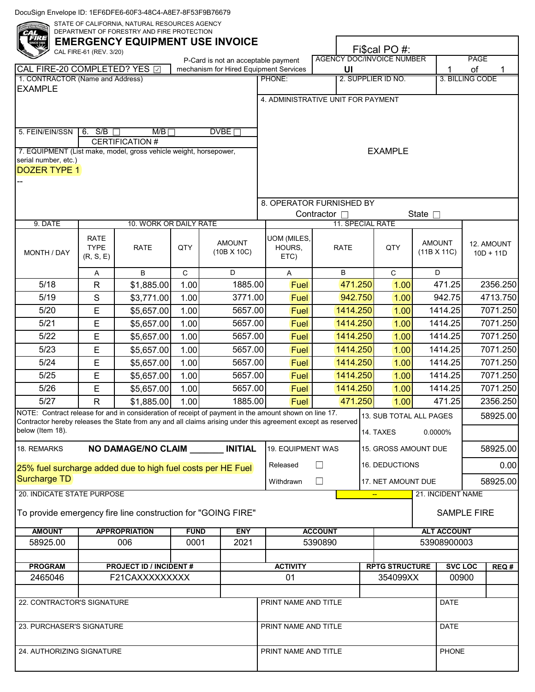|                                                                                                                                                                                                                                           | CAL FIRE-61 (REV. 3/20)                 |                                |              | <b>EMERGENCY EQUIPMENT USE INVOICE</b>                                        |                                     | <b>AGENCY DOC/INVOICE NUMBER</b> |          | Fi\$cal PO #:                        |                              | <b>PAGE</b>        |                           |
|-------------------------------------------------------------------------------------------------------------------------------------------------------------------------------------------------------------------------------------------|-----------------------------------------|--------------------------------|--------------|-------------------------------------------------------------------------------|-------------------------------------|----------------------------------|----------|--------------------------------------|------------------------------|--------------------|---------------------------|
| CAL FIRE-20 COMPLETED? YES 2                                                                                                                                                                                                              |                                         |                                |              | P-Card is not an acceptable payment<br>mechanism for Hired Equipment Services |                                     | UI                               |          |                                      | 1                            | of                 |                           |
| 1. CONTRACTOR (Name and Address)                                                                                                                                                                                                          |                                         |                                |              |                                                                               | PHONE:                              |                                  |          | 2. SUPPLIER ID NO.                   |                              | 3. BILLING CODE    |                           |
| <b>EXAMPLE</b>                                                                                                                                                                                                                            |                                         |                                |              |                                                                               | 4. ADMINISTRATIVE UNIT FOR PAYMENT  |                                  |          |                                      |                              |                    |                           |
|                                                                                                                                                                                                                                           |                                         |                                |              |                                                                               |                                     |                                  |          |                                      |                              |                    |                           |
| 5. FEIN/EIN/SSN                                                                                                                                                                                                                           | $6.$ S/B                                | M/B<br>CERTIFICATION #         |              | DVBE                                                                          |                                     |                                  |          |                                      |                              |                    |                           |
| 7. EQUIPMENT (List make, model, gross vehicle weight, horsepower,<br>serial number, etc.)<br><b>DOZER TYPE 1</b>                                                                                                                          |                                         |                                |              |                                                                               |                                     |                                  |          | <b>EXAMPLE</b>                       |                              |                    |                           |
|                                                                                                                                                                                                                                           |                                         |                                |              |                                                                               | 8. OPERATOR FURNISHED BY            | Contractor □                     |          |                                      | State $\Box$                 |                    |                           |
| 9. DATE                                                                                                                                                                                                                                   |                                         | 10. WORK OR DAILY RATE         |              |                                                                               |                                     |                                  |          | 11. SPECIAL RATE                     |                              |                    |                           |
| MONTH / DAY                                                                                                                                                                                                                               | <b>RATE</b><br><b>TYPE</b><br>(R, S, E) | <b>RATE</b>                    | QTY          | <b>AMOUNT</b><br>(10B X 10C)                                                  | UOM (MILES,<br>HOURS,<br>ETC)       | <b>RATE</b>                      |          |                                      | <b>AMOUNT</b><br>(11B X 11C) |                    | 12. AMOUNT<br>$10D + 11D$ |
|                                                                                                                                                                                                                                           | A                                       | B                              | $\mathsf{C}$ | D                                                                             | A                                   | B                                |          | $\mathsf C$                          | D                            |                    |                           |
| 5/18                                                                                                                                                                                                                                      | $\mathsf{R}$                            | \$1,885.00                     | 1.00         | 1885.00                                                                       | <b>Fuel</b>                         |                                  | 471.250  | 1.00                                 | 471.25                       |                    | 2356.250                  |
| 5/19                                                                                                                                                                                                                                      | $\mathbf S$                             | \$3,771.00                     | 1.00         | 3771.00                                                                       | Fuel                                | 942.750                          |          | 1.00                                 | 942.75                       |                    | 4713.750                  |
| 5/20                                                                                                                                                                                                                                      | E                                       | \$5,657.00                     | 1.00         | 5657.00                                                                       | Fuel                                |                                  | 1414.250 | 1.00                                 | 1414.25                      |                    | 7071.250                  |
| 5/21                                                                                                                                                                                                                                      | E                                       | \$5,657.00                     | 1.00         | 5657.00                                                                       | Fuel                                | 1414.250                         |          | 1.00                                 | 1414.25                      |                    | 7071.250                  |
| $5/22$                                                                                                                                                                                                                                    | E                                       | \$5,657.00                     | 1.00         | 5657.00                                                                       | Fuel                                | 1414.250                         |          | 1.00                                 | 1414.25                      |                    | 7071.250                  |
| 5/23                                                                                                                                                                                                                                      | E                                       | \$5,657.00                     | 1.00         | 5657.00                                                                       | <b>Fuel</b>                         | 1414.250                         |          | 1.00                                 | 1414.25                      |                    | 7071.250                  |
| $5/24$                                                                                                                                                                                                                                    | Е                                       | \$5,657.00                     | 1.00         | 5657.00                                                                       | <b>Fuel</b>                         | 1414.250                         |          | 1.00                                 | 1414.25                      |                    | 7071.250                  |
| 5/25                                                                                                                                                                                                                                      | E                                       | \$5,657.00                     | 1.00         | 5657.00                                                                       | Fuel                                | 1414.250                         |          | 1.00                                 | 1414.25                      |                    | 7071.250                  |
| 5/26                                                                                                                                                                                                                                      | E                                       | \$5,657.00                     | 1.00         | 5657.00                                                                       | Fuel                                | 1414.250                         |          | 1.00                                 | 1414.25                      |                    | 7071.250                  |
| 5/27                                                                                                                                                                                                                                      | $\mathsf{R}$                            | \$1,885.00                     | 1.00         | 1885.00                                                                       | Fuel                                |                                  | 471.250  | 1.00                                 | 471.25                       |                    | 2356.250                  |
| NOTE: Contract release for and in consideration of receipt of payment in the amount shown on line 17.<br>Contractor hereby releases the State from any and all claims arising under this agreement except as reserved<br>below (Item 18). |                                         |                                |              |                                                                               |                                     |                                  |          | 13. SUB TOTAL ALL PAGES<br>14. TAXES | 0.0000%                      |                    | 58925.00                  |
| 18. REMARKS                                                                                                                                                                                                                               |                                         |                                |              | NO DAMAGE/NO CLAIM _______ INITIAL                                            | 19. EQUIPMENT WAS                   |                                  |          | 15. GROSS AMOUNT DUE                 |                              |                    | 58925.00                  |
| 25% fuel surcharge added due to high fuel costs per HE Fuel                                                                                                                                                                               |                                         |                                |              |                                                                               | Released                            | П                                |          | 16. DEDUCTIONS                       |                              |                    | 0.00                      |
| Surcharge TD                                                                                                                                                                                                                              |                                         |                                |              |                                                                               | Withdrawn                           | $\Box$                           |          | 17. NET AMOUNT DUE                   |                              |                    | 58925.00                  |
| 20. INDICATE STATE PURPOSE                                                                                                                                                                                                                |                                         |                                |              |                                                                               |                                     |                                  |          | $\frac{1}{2}$                        | 21. INCIDENT NAME            |                    |                           |
| To provide emergency fire line construction for "GOING FIRE"                                                                                                                                                                              |                                         |                                |              |                                                                               |                                     |                                  |          |                                      |                              | <b>SAMPLE FIRE</b> |                           |
| <b>AMOUNT</b>                                                                                                                                                                                                                             |                                         | <b>APPROPRIATION</b>           | <b>FUND</b>  | <b>ENY</b>                                                                    |                                     | <b>ACCOUNT</b>                   |          |                                      | <b>ALT ACCOUNT</b>           |                    |                           |
| 58925.00                                                                                                                                                                                                                                  |                                         | 006                            | 0001         | 2021                                                                          |                                     | 5390890                          |          |                                      | 53908900003                  |                    |                           |
| <b>PROGRAM</b>                                                                                                                                                                                                                            |                                         | <b>PROJECT ID / INCIDENT #</b> |              |                                                                               | <b>ACTIVITY</b>                     |                                  |          | <b>RPTG STRUCTURE</b>                |                              | <b>SVC LOC</b>     | REQ#                      |
| 2465046<br>F21CAXXXXXXXXX                                                                                                                                                                                                                 |                                         |                                |              |                                                                               | 01                                  |                                  |          | 354099XX                             |                              | 00900              |                           |
| 22. CONTRACTOR'S SIGNATURE                                                                                                                                                                                                                |                                         |                                |              |                                                                               |                                     |                                  |          |                                      |                              |                    |                           |
|                                                                                                                                                                                                                                           |                                         |                                |              |                                                                               | PRINT NAME AND TITLE<br><b>DATE</b> |                                  |          |                                      |                              |                    |                           |
| 23. PURCHASER'S SIGNATURE                                                                                                                                                                                                                 |                                         |                                |              |                                                                               | PRINT NAME AND TITLE<br><b>DATE</b> |                                  |          |                                      |                              |                    |                           |
| 24. AUTHORIZING SIGNATURE                                                                                                                                                                                                                 |                                         |                                |              |                                                                               | PRINT NAME AND TITLE<br>PHONE       |                                  |          |                                      |                              |                    |                           |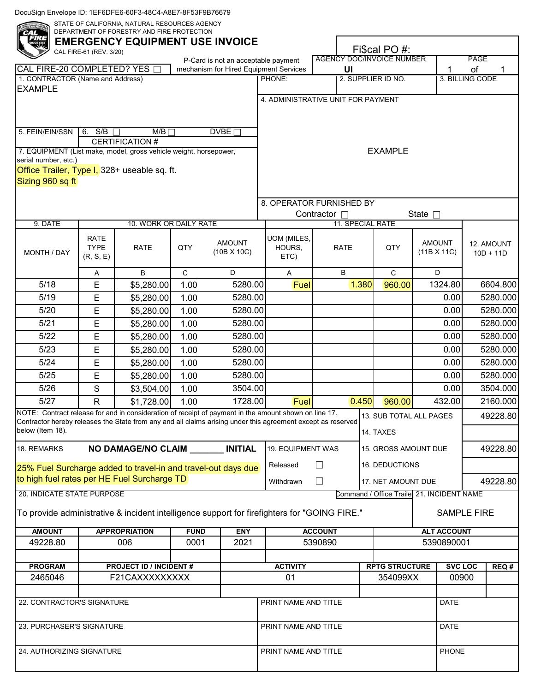|                                                                                                                                                                                                                                           | CAL FIRE-61 (REV. 3/20)                 | <b>EMERGENCY EQUIPMENT USE INVOICE</b> |                               | P-Card is not an acceptable payment    |                                     | <b>AGENCY DOC/INVOICE NUMBER</b> |       | Fi\$cal PO #:         |                                           | PAGE                  |                           |
|-------------------------------------------------------------------------------------------------------------------------------------------------------------------------------------------------------------------------------------------|-----------------------------------------|----------------------------------------|-------------------------------|----------------------------------------|-------------------------------------|----------------------------------|-------|-----------------------|-------------------------------------------|-----------------------|---------------------------|
| CAL FIRE-20 COMPLETED? YES [<br>1. CONTRACTOR (Name and Address)                                                                                                                                                                          |                                         |                                        |                               | mechanism for Hired Equipment Services | PHONE:                              | UI                               |       | 2. SUPPLIER ID NO.    |                                           | of<br>3. BILLING CODE | 1                         |
| <b>EXAMPLE</b>                                                                                                                                                                                                                            |                                         |                                        |                               |                                        |                                     |                                  |       |                       |                                           |                       |                           |
|                                                                                                                                                                                                                                           |                                         |                                        |                               |                                        | 4. ADMINISTRATIVE UNIT FOR PAYMENT  |                                  |       |                       |                                           |                       |                           |
| 5. FEIN/EIN/SSN                                                                                                                                                                                                                           | 6. S/B                                  | M/B                                    |                               | DVBE                                   |                                     |                                  |       |                       |                                           |                       |                           |
| 7. EQUIPMENT (List make, model, gross vehicle weight, horsepower,                                                                                                                                                                         |                                         | <b>CERTIFICATION #</b>                 |                               |                                        |                                     |                                  |       | <b>EXAMPLE</b>        |                                           |                       |                           |
| serial number, etc.)                                                                                                                                                                                                                      |                                         |                                        |                               |                                        |                                     |                                  |       |                       |                                           |                       |                           |
| Office Trailer, Type I, 328+ useable sq. ft.                                                                                                                                                                                              |                                         |                                        |                               |                                        |                                     |                                  |       |                       |                                           |                       |                           |
| Sizing 960 sq ft                                                                                                                                                                                                                          |                                         |                                        |                               |                                        |                                     |                                  |       |                       |                                           |                       |                           |
|                                                                                                                                                                                                                                           |                                         |                                        |                               |                                        | 8. OPERATOR FURNISHED BY            |                                  |       |                       |                                           |                       |                           |
|                                                                                                                                                                                                                                           |                                         |                                        |                               |                                        |                                     | Contractor □                     |       |                       | State $\square$                           |                       |                           |
| 9. DATE                                                                                                                                                                                                                                   |                                         | 10. WORK OR DAILY RATE                 |                               |                                        |                                     | 11. SPECIAL RATE                 |       |                       |                                           |                       |                           |
| MONTH / DAY                                                                                                                                                                                                                               | <b>RATE</b><br><b>TYPE</b><br>(R, S, E) | <b>RATE</b>                            | QTY                           | <b>AMOUNT</b><br>$(10B \times 10C)$    | UOM (MILES,<br>HOURS,<br>ETC)       | <b>RATE</b>                      |       | QTY                   | <b>AMOUNT</b><br>(11B X 11C)              |                       | 12. AMOUNT<br>$10D + 11D$ |
|                                                                                                                                                                                                                                           | Α                                       | B                                      | $\mathbf C$                   | D                                      | A                                   | B                                |       | $\mathbf C$           | D                                         |                       |                           |
| 5/18                                                                                                                                                                                                                                      | E                                       | \$5,280.00                             | 1.00                          | 5280.00                                | Fuel                                |                                  | 1.380 | 960.00                | 1324.80                                   |                       | 6604.800                  |
| 5/19                                                                                                                                                                                                                                      | E                                       | \$5,280.00                             | 1.00                          | 5280.00                                |                                     |                                  |       |                       | 0.00                                      |                       | 5280.000                  |
| 5/20                                                                                                                                                                                                                                      | E                                       | \$5,280.00                             | 1.00                          | 5280.00                                |                                     |                                  |       |                       | 0.00                                      |                       | 5280.000                  |
| 5/21                                                                                                                                                                                                                                      | Е                                       | \$5,280.00                             | 1.00                          | 5280.00                                |                                     |                                  |       |                       | 0.00                                      |                       | 5280.000                  |
| $5/22$                                                                                                                                                                                                                                    | E                                       | \$5,280.00                             | 1.00                          | 5280.00                                |                                     |                                  |       |                       | 0.00                                      |                       | 5280.000                  |
| 5/23                                                                                                                                                                                                                                      | E                                       | \$5,280.00                             | 1.00                          | 5280.00                                |                                     |                                  |       |                       | 0.00                                      |                       | 5280.000                  |
| $5/24$                                                                                                                                                                                                                                    | Е                                       | \$5,280.00                             | 1.00                          | 5280.00                                |                                     |                                  |       |                       | 0.00                                      |                       | 5280.000                  |
| $5/25$                                                                                                                                                                                                                                    | Е                                       | \$5,280.00                             | 1.00                          | 5280.00                                |                                     |                                  |       |                       | 0.00                                      |                       | 5280.000                  |
| 5/26                                                                                                                                                                                                                                      | S                                       | \$3,504.00                             | 1.00                          | 3504.00                                |                                     |                                  |       |                       | 0.00                                      |                       | 3504.000                  |
| 5/27                                                                                                                                                                                                                                      | $\mathsf{R}$                            | \$1,728.00                             | 1.00                          | 1728.00                                | Fuel                                |                                  | 0.450 | 960.00                | 432.00                                    |                       | 2160.000                  |
| NOTE: Contract release for and in consideration of receipt of payment in the amount shown on line 17.<br>Contractor hereby releases the State from any and all claims arising under this agreement except as reserved<br>below (Item 18). |                                         |                                        |                               |                                        |                                     |                                  |       | 14. TAXES             | 13. SUB TOTAL ALL PAGES                   |                       | 49228.80                  |
| 18. REMARKS                                                                                                                                                                                                                               |                                         |                                        |                               | NO DAMAGE/NO CLAIM _______ INITIAL     | 19. EQUIPMENT WAS                   | 15. GROSS AMOUNT DUE             |       |                       |                                           |                       | 49228.80                  |
| 25% Fuel Surcharge added to travel-in and travel-out days due                                                                                                                                                                             |                                         |                                        |                               |                                        | Released                            | $\Box$                           |       | 16. DEDUCTIONS        |                                           |                       |                           |
| to high fuel rates per HE Fuel Surcharge TD                                                                                                                                                                                               |                                         |                                        |                               |                                        | Withdrawn                           | $\Box$                           |       | 17. NET AMOUNT DUE    |                                           |                       | 49228.80                  |
| 20. INDICATE STATE PURPOSE                                                                                                                                                                                                                |                                         |                                        |                               |                                        |                                     |                                  |       |                       | Command / Office Traile 21. INCIDENT NAME |                       |                           |
| To provide administrative & incident intelligence support for firefighters for "GOING FIRE."                                                                                                                                              |                                         |                                        |                               |                                        |                                     |                                  |       |                       |                                           | <b>SAMPLE FIRE</b>    |                           |
| <b>AMOUNT</b>                                                                                                                                                                                                                             |                                         | <b>APPROPRIATION</b>                   | <b>FUND</b>                   | <b>ENY</b>                             |                                     | <b>ACCOUNT</b>                   |       |                       | <b>ALT ACCOUNT</b>                        |                       |                           |
| 49228.80                                                                                                                                                                                                                                  |                                         | 006                                    | 0001                          | 2021                                   |                                     | 5390890                          |       |                       | 5390890001                                |                       |                           |
| <b>PROGRAM</b>                                                                                                                                                                                                                            |                                         | <b>PROJECT ID / INCIDENT#</b>          |                               |                                        | <b>ACTIVITY</b>                     |                                  |       | <b>RPTG STRUCTURE</b> |                                           | <b>SVC LOC</b>        | REQ#                      |
| 2465046                                                                                                                                                                                                                                   |                                         | F21CAXXXXXXXXX                         |                               |                                        | 01                                  |                                  |       | 354099XX              |                                           | 00900                 |                           |
|                                                                                                                                                                                                                                           |                                         |                                        |                               |                                        |                                     |                                  |       |                       |                                           |                       |                           |
| 22. CONTRACTOR'S SIGNATURE                                                                                                                                                                                                                |                                         |                                        |                               |                                        | PRINT NAME AND TITLE                |                                  |       |                       | <b>DATE</b>                               |                       |                           |
| 23. PURCHASER'S SIGNATURE                                                                                                                                                                                                                 |                                         |                                        |                               |                                        | PRINT NAME AND TITLE<br><b>DATE</b> |                                  |       |                       |                                           |                       |                           |
| 24. AUTHORIZING SIGNATURE                                                                                                                                                                                                                 |                                         |                                        | PHONE<br>PRINT NAME AND TITLE |                                        |                                     |                                  |       |                       |                                           |                       |                           |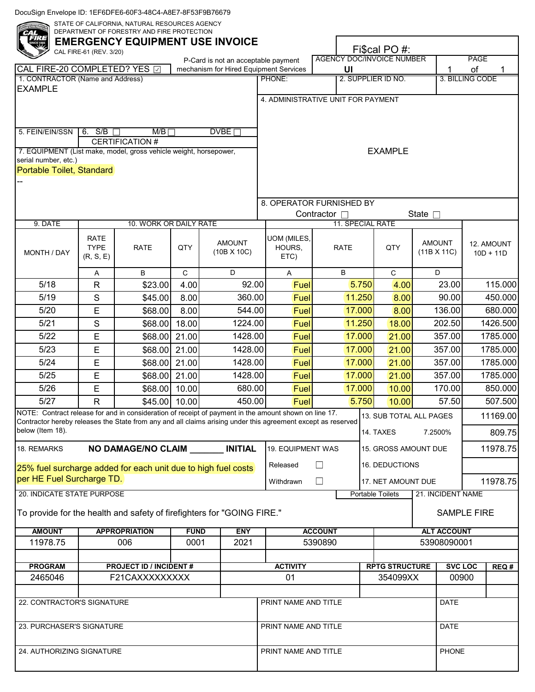|                                                                                                                                                                                                                                           | CAL FIRE-61 (REV. 3/20)                 |                               |              | <b>EMERGENCY EQUIPMENT USE INVOICE</b><br>P-Card is not an acceptable payment |                                     | <b>AGENCY DOC/INVOICE NUMBER</b> |        | Fi\$cal PO #:                                 |                                    | <b>PAGE</b>     |                           |
|-------------------------------------------------------------------------------------------------------------------------------------------------------------------------------------------------------------------------------------------|-----------------------------------------|-------------------------------|--------------|-------------------------------------------------------------------------------|-------------------------------------|----------------------------------|--------|-----------------------------------------------|------------------------------------|-----------------|---------------------------|
| CAL FIRE-20 COMPLETED? YES 2                                                                                                                                                                                                              |                                         |                               |              | mechanism for Hired Equipment Services                                        |                                     | UI                               |        |                                               | 1                                  | of              |                           |
| 1. CONTRACTOR (Name and Address)                                                                                                                                                                                                          |                                         |                               |              |                                                                               | PHONE:                              |                                  |        | 2. SUPPLIER ID NO.                            |                                    | 3. BILLING CODE |                           |
| <b>EXAMPLE</b>                                                                                                                                                                                                                            |                                         |                               |              |                                                                               | 4. ADMINISTRATIVE UNIT FOR PAYMENT  |                                  |        |                                               |                                    |                 |                           |
|                                                                                                                                                                                                                                           |                                         |                               |              |                                                                               |                                     |                                  |        |                                               |                                    |                 |                           |
| 5. FEIN/EIN/SSN                                                                                                                                                                                                                           | 6. S/B                                  | M/B<br><b>CERTIFICATION #</b> |              | DVBE                                                                          |                                     |                                  |        |                                               |                                    |                 |                           |
| 7. EQUIPMENT (List make, model, gross vehicle weight, horsepower,<br>serial number, etc.)<br>Portable Toilet, Standard                                                                                                                    |                                         |                               |              |                                                                               |                                     |                                  |        | <b>EXAMPLE</b>                                |                                    |                 |                           |
|                                                                                                                                                                                                                                           |                                         |                               |              |                                                                               | 8. OPERATOR FURNISHED BY            |                                  |        |                                               | State $\Box$                       |                 |                           |
| 9. DATE                                                                                                                                                                                                                                   |                                         | 10. WORK OR DAILY RATE        |              |                                                                               |                                     | Contractor □                     |        | 11. SPECIAL RATE                              |                                    |                 |                           |
| MONTH / DAY                                                                                                                                                                                                                               | <b>RATE</b><br><b>TYPE</b><br>(R, S, E) | <b>RATE</b>                   | QTY          | <b>AMOUNT</b><br>(10B X 10C)                                                  | UOM (MILES,<br>HOURS,<br>ETC)       | <b>RATE</b>                      |        | QTY                                           | <b>AMOUNT</b><br>(11B X 11C)       |                 | 12. AMOUNT<br>$10D + 11D$ |
|                                                                                                                                                                                                                                           | A                                       | B                             | $\mathsf{C}$ | D                                                                             | A                                   | B                                |        | $\mathbf C$                                   | D                                  |                 |                           |
| 5/18                                                                                                                                                                                                                                      | $\mathsf{R}$                            | \$23.00                       | 4.00         | 92.00                                                                         | Fuel                                |                                  | 5.750  | 4.00                                          | 23.00                              |                 | 115.000                   |
| 5/19                                                                                                                                                                                                                                      | $\mathsf S$                             | \$45.00                       | 8.00         | 360.00                                                                        | Fuel                                |                                  | 11.250 | 8.00                                          | 90.00                              |                 | 450.000                   |
| 5/20                                                                                                                                                                                                                                      | E                                       | \$68.00                       | 8.00         | 544.00                                                                        | Fuel                                | 17.000                           |        | 8.00                                          | 136.00                             |                 | 680.000                   |
| 5/21                                                                                                                                                                                                                                      | $\mathsf S$                             | \$68.00                       | 18.00        | 1224.00                                                                       | Fuel                                | 11.250                           |        | 18.00                                         | 202.50                             |                 | 1426.500                  |
| $5/22$                                                                                                                                                                                                                                    | E                                       | \$68.00                       | 21.00        | 1428.00                                                                       | Fuel                                | 17.000                           |        | 21.00                                         | 357.00                             |                 | 1785.000                  |
| 5/23                                                                                                                                                                                                                                      | E                                       | \$68.00                       | 21.00        | 1428.00                                                                       | Fuel                                | 17.000                           |        | 21.00                                         | 357.00                             |                 | 1785.000                  |
| $5/24$                                                                                                                                                                                                                                    | E                                       | \$68.00                       | 21.00        | 1428.00                                                                       | Fuel                                |                                  | 17.000 | 21.00                                         | 357.00                             |                 | 1785.000                  |
| 5/25                                                                                                                                                                                                                                      | E                                       | \$68.00 21.00                 |              | 1428.00                                                                       | Fuel                                |                                  | 17.000 | 21.00                                         | 357.00                             |                 | 1785.000                  |
| 5/26                                                                                                                                                                                                                                      | E                                       | \$68.00                       | 10.00        | 680.00                                                                        | Fuel                                |                                  | 17.000 | 10.00                                         | 170.00                             |                 | 850.000                   |
| 5/27                                                                                                                                                                                                                                      | $\mathsf{R}$                            | \$45.00                       | 10.00        | 450.00                                                                        | Fuel                                |                                  | 5.750  | 10.00                                         | 57.50                              |                 | 507.500                   |
| NOTE: Contract release for and in consideration of receipt of payment in the amount shown on line 17.<br>Contractor hereby releases the State from any and all claims arising under this agreement except as reserved<br>below (Item 18). |                                         |                               |              |                                                                               |                                     |                                  |        | 14. TAXES                                     | 13. SUB TOTAL ALL PAGES<br>7.2500% |                 | 11169.00<br>809.75        |
| 18. REMARKS                                                                                                                                                                                                                               |                                         |                               |              | NO DAMAGE/NO CLAIM _______ INITIAL                                            | 19. EQUIPMENT WAS                   |                                  |        |                                               |                                    |                 | 11978.75                  |
|                                                                                                                                                                                                                                           |                                         |                               |              |                                                                               |                                     |                                  |        |                                               | 15. GROSS AMOUNT DUE               |                 |                           |
| 25% fuel surcharge added for each unit due to high fuel costs<br>per HE Fuel Surcharge TD.                                                                                                                                                |                                         |                               |              |                                                                               | Released                            | П                                |        | 16. DEDUCTIONS                                |                                    |                 |                           |
| 20. INDICATE STATE PURPOSE                                                                                                                                                                                                                |                                         |                               |              |                                                                               | Withdrawn                           | $\Box$                           |        | 17. NET AMOUNT DUE<br><b>Portable Toilets</b> | 21. INCIDENT NAME                  |                 | 11978.75                  |
| To provide for the health and safety of firefighters for "GOING FIRE."                                                                                                                                                                    |                                         |                               |              |                                                                               |                                     |                                  |        |                                               | <b>SAMPLE FIRE</b>                 |                 |                           |
| <b>AMOUNT</b>                                                                                                                                                                                                                             |                                         | <b>APPROPRIATION</b>          | <b>FUND</b>  | <b>ENY</b>                                                                    |                                     | <b>ACCOUNT</b>                   |        |                                               | <b>ALT ACCOUNT</b>                 |                 |                           |
| 11978.75                                                                                                                                                                                                                                  |                                         | 006                           | 0001         | 2021                                                                          |                                     | 5390890                          |        |                                               | 53908090001                        |                 |                           |
| <b>PROGRAM</b>                                                                                                                                                                                                                            |                                         |                               |              |                                                                               | <b>ACTIVITY</b>                     |                                  |        | <b>RPTG STRUCTURE</b>                         | <b>SVC LOC</b>                     |                 | REQ#                      |
| <b>PROJECT ID / INCIDENT #</b><br>2465046<br>F21CAXXXXXXXXX                                                                                                                                                                               |                                         |                               |              |                                                                               | 01                                  |                                  |        | 354099XX                                      | 00900                              |                 |                           |
|                                                                                                                                                                                                                                           |                                         |                               |              |                                                                               |                                     |                                  |        |                                               |                                    |                 |                           |
| 22. CONTRACTOR'S SIGNATURE                                                                                                                                                                                                                |                                         |                               |              |                                                                               | PRINT NAME AND TITLE                |                                  |        |                                               | <b>DATE</b>                        |                 |                           |
| 23. PURCHASER'S SIGNATURE                                                                                                                                                                                                                 |                                         |                               |              |                                                                               | PRINT NAME AND TITLE<br><b>DATE</b> |                                  |        |                                               |                                    |                 |                           |
|                                                                                                                                                                                                                                           |                                         |                               |              |                                                                               |                                     |                                  |        |                                               |                                    |                 |                           |